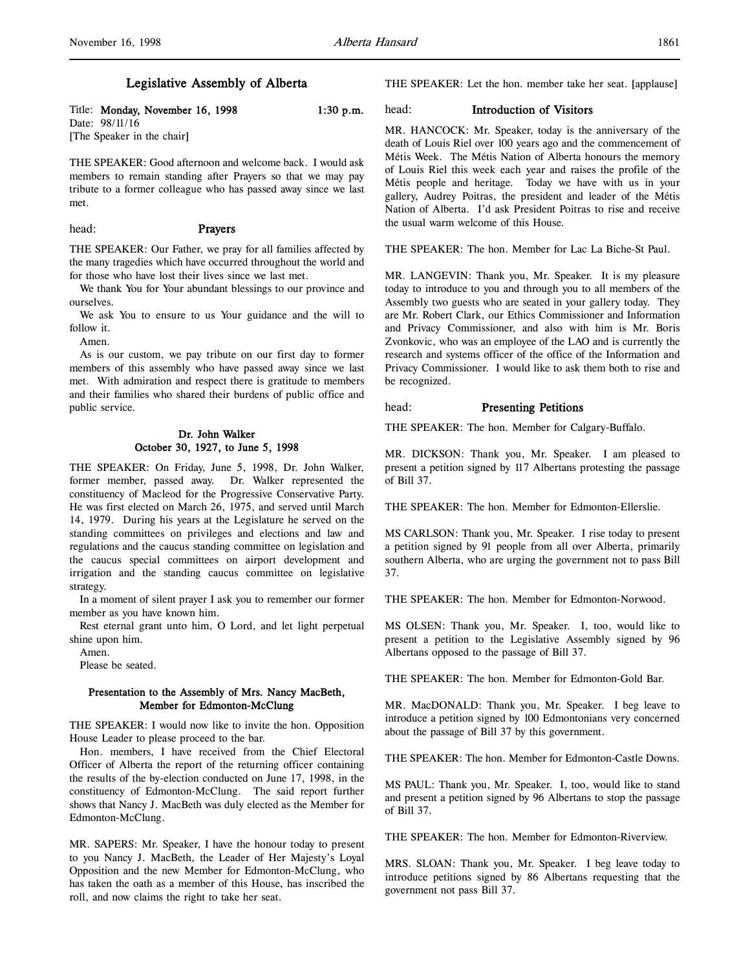# Legislative Assembly of Alberta

Title: Monday, November 16, 1998 1:30 p.m. Date: 98/11/16 [The Speaker in the chair]

THE SPEAKER: Good afternoon and welcome back. I would ask members to remain standing after Prayers so that we may pay tribute to a former colleague who has passed away since we last met.

### head: Prayers

THE SPEAKER: Our Father, we pray for all families affected by the many tragedies which have occurred throughout the world and for those who have lost their lives since we last met.

We thank You for Your abundant blessings to our province and ourselves.

We ask You to ensure to us Your guidance and the will to follow it.

Amen.

As is our custom, we pay tribute on our first day to former members of this assembly who have passed away since we last met. With admiration and respect there is gratitude to members and their families who shared their burdens of public office and public service.

# Dr. John Walker October 30, 1927, to June 5, 1998

THE SPEAKER: On Friday, June 5, 1998, Dr. John Walker, former member, passed away. Dr. Walker represented the constituency of Macleod for the Progressive Conservative Party. He was first elected on March 26, 1975, and served until March 14, 1979. During his years at the Legislature he served on the standing committees on privileges and elections and law and regulations and the caucus standing committee on legislation and the caucus special committees on airport development and irrigation and the standing caucus committee on legislative strategy.

In a moment of silent prayer I ask you to remember our former member as you have known him.

Rest eternal grant unto him, O Lord, and let light perpetual shine upon him.

Amen.

Please be seated.

# Presentation to the Assembly of Mrs. Nancy MacBeth, Member for Edmonton-McClung

THE SPEAKER: I would now like to invite the hon. Opposition House Leader to please proceed to the bar.

Hon. members, I have received from the Chief Electoral Officer of Alberta the report of the returning officer containing the results of the by-election conducted on June 17, 1998, in the constituency of Edmonton-McClung. The said report further shows that Nancy J. MacBeth was duly elected as the Member for Edmonton-McClung.

MR. SAPERS: Mr. Speaker, I have the honour today to present to you Nancy J. MacBeth, the Leader of Her Majesty's Loyal Opposition and the new Member for Edmonton-McClung, who has taken the oath as a member of this House, has inscribed the roll, and now claims the right to take her seat.

THE SPEAKER: Let the hon. member take her seat. [applause]

# head: Introduction of Visitors

MR. HANCOCK: Mr. Speaker, today is the anniversary of the death of Louis Riel over 100 years ago and the commencement of Métis Week. The Métis Nation of Alberta honours the memory of Louis Riel this week each year and raises the profile of the Métis people and heritage. Today we have with us in your gallery, Audrey Poitras, the president and leader of the Métis Nation of Alberta. I'd ask President Poitras to rise and receive the usual warm welcome of this House.

THE SPEAKER: The hon. Member for Lac La Biche-St Paul.

MR. LANGEVIN: Thank you, Mr. Speaker. It is my pleasure today to introduce to you and through you to all members of the Assembly two guests who are seated in your gallery today. They are Mr. Robert Clark, our Ethics Commissioner and Information and Privacy Commissioner, and also with him is Mr. Boris Zvonkovic, who was an employee of the LAO and is currently the research and systems officer of the office of the Information and Privacy Commissioner. I would like to ask them both to rise and be recognized.

### head: Presenting Petitions

THE SPEAKER: The hon. Member for Calgary-Buffalo.

MR. DICKSON: Thank you, Mr. Speaker. I am pleased to present a petition signed by 117 Albertans protesting the passage of Bill 37.

THE SPEAKER: The hon. Member for Edmonton-Ellerslie.

MS CARLSON: Thank you, Mr. Speaker. I rise today to present a petition signed by 91 people from all over Alberta, primarily southern Alberta, who are urging the government not to pass Bill 37.

THE SPEAKER: The hon. Member for Edmonton-Norwood.

MS OLSEN: Thank you, Mr. Speaker. I, too, would like to present a petition to the Legislative Assembly signed by 96 Albertans opposed to the passage of Bill 37.

THE SPEAKER: The hon. Member for Edmonton-Gold Bar.

MR. MacDONALD: Thank you, Mr. Speaker. I beg leave to introduce a petition signed by 100 Edmontonians very concerned about the passage of Bill 37 by this government.

THE SPEAKER: The hon. Member for Edmonton-Castle Downs.

MS PAUL: Thank you, Mr. Speaker. I, too, would like to stand and present a petition signed by 96 Albertans to stop the passage of Bill 37.

THE SPEAKER: The hon. Member for Edmonton-Riverview.

MRS. SLOAN: Thank you, Mr. Speaker. I beg leave today to introduce petitions signed by 86 Albertans requesting that the government not pass Bill 37.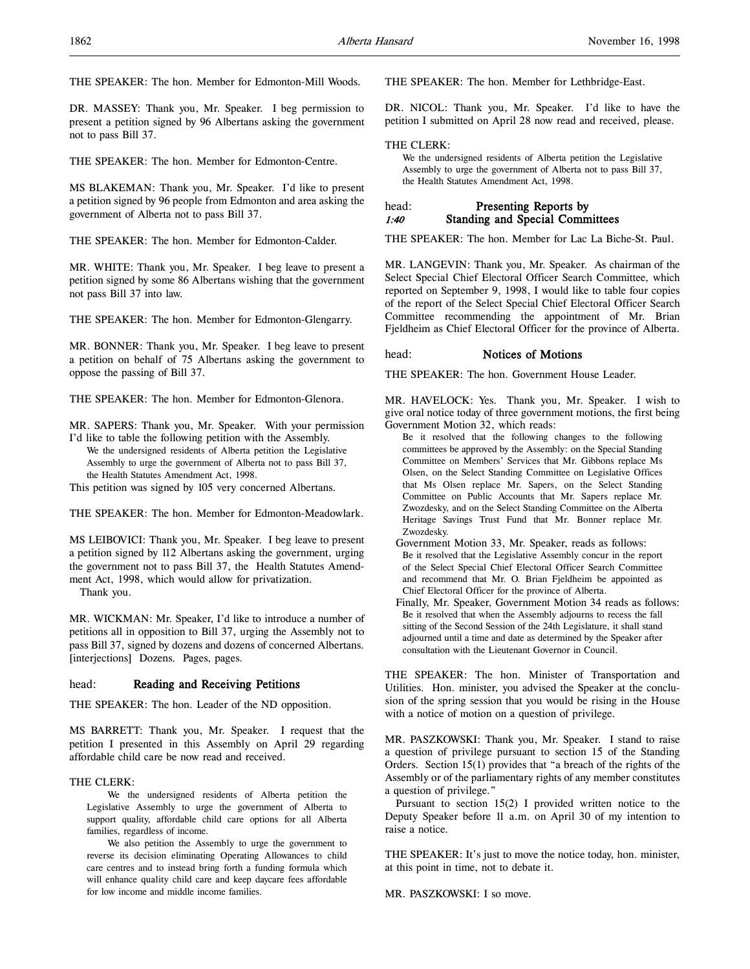THE SPEAKER: The hon. Member for Edmonton-Mill Woods.

DR. MASSEY: Thank you, Mr. Speaker. I beg permission to present a petition signed by 96 Albertans asking the government not to pass Bill 37.

THE SPEAKER: The hon. Member for Edmonton-Centre.

MS BLAKEMAN: Thank you, Mr. Speaker. I'd like to present a petition signed by 96 people from Edmonton and area asking the government of Alberta not to pass Bill 37.

THE SPEAKER: The hon. Member for Edmonton-Calder.

MR. WHITE: Thank you, Mr. Speaker. I beg leave to present a petition signed by some 86 Albertans wishing that the government not pass Bill 37 into law.

THE SPEAKER: The hon. Member for Edmonton-Glengarry.

MR. BONNER: Thank you, Mr. Speaker. I beg leave to present a petition on behalf of 75 Albertans asking the government to oppose the passing of Bill 37.

THE SPEAKER: The hon. Member for Edmonton-Glenora.

MR. SAPERS: Thank you, Mr. Speaker. With your permission I'd like to table the following petition with the Assembly.

We the undersigned residents of Alberta petition the Legislative Assembly to urge the government of Alberta not to pass Bill 37, the Health Statutes Amendment Act, 1998.

This petition was signed by 105 very concerned Albertans.

THE SPEAKER: The hon. Member for Edmonton-Meadowlark.

MS LEIBOVICI: Thank you, Mr. Speaker. I beg leave to present a petition signed by 112 Albertans asking the government, urging the government not to pass Bill 37, the Health Statutes Amendment Act, 1998, which would allow for privatization.

Thank you.

MR. WICKMAN: Mr. Speaker, I'd like to introduce a number of petitions all in opposition to Bill 37, urging the Assembly not to pass Bill 37, signed by dozens and dozens of concerned Albertans. [interjections] Dozens. Pages, pages.

### head: Reading and Receiving Petitions

THE SPEAKER: The hon. Leader of the ND opposition.

MS BARRETT: Thank you, Mr. Speaker. I request that the petition I presented in this Assembly on April 29 regarding affordable child care be now read and received.

## THE CLERK:

We the undersigned residents of Alberta petition the Legislative Assembly to urge the government of Alberta to support quality, affordable child care options for all Alberta families, regardless of income.

We also petition the Assembly to urge the government to reverse its decision eliminating Operating Allowances to child care centres and to instead bring forth a funding formula which will enhance quality child care and keep daycare fees affordable for low income and middle income families.

THE SPEAKER: The hon. Member for Lethbridge-East.

DR. NICOL: Thank you, Mr. Speaker. I'd like to have the petition I submitted on April 28 now read and received, please.

#### THE CLERK:

We the undersigned residents of Alberta petition the Legislative Assembly to urge the government of Alberta not to pass Bill 37, the Health Statutes Amendment Act, 1998.

### head: Presenting Reports by 1:40 Standing and Special Committees

THE SPEAKER: The hon. Member for Lac La Biche-St. Paul.

MR. LANGEVIN: Thank you, Mr. Speaker. As chairman of the Select Special Chief Electoral Officer Search Committee, which reported on September 9, 1998, I would like to table four copies of the report of the Select Special Chief Electoral Officer Search Committee recommending the appointment of Mr. Brian Fjeldheim as Chief Electoral Officer for the province of Alberta.

#### head: Notices of Motions

THE SPEAKER: The hon. Government House Leader.

MR. HAVELOCK: Yes. Thank you, Mr. Speaker. I wish to give oral notice today of three government motions, the first being Government Motion 32, which reads:

Be it resolved that the following changes to the following committees be approved by the Assembly: on the Special Standing Committee on Members' Services that Mr. Gibbons replace Ms Olsen, on the Select Standing Committee on Legislative Offices that Ms Olsen replace Mr. Sapers, on the Select Standing Committee on Public Accounts that Mr. Sapers replace Mr. Zwozdesky, and on the Select Standing Committee on the Alberta Heritage Savings Trust Fund that Mr. Bonner replace Mr. Zwozdesky.

- Government Motion 33, Mr. Speaker, reads as follows: Be it resolved that the Legislative Assembly concur in the report of the Select Special Chief Electoral Officer Search Committee and recommend that Mr. O. Brian Fjeldheim be appointed as Chief Electoral Officer for the province of Alberta.
- Finally, Mr. Speaker, Government Motion 34 reads as follows: Be it resolved that when the Assembly adjourns to recess the fall sitting of the Second Session of the 24th Legislature, it shall stand adjourned until a time and date as determined by the Speaker after consultation with the Lieutenant Governor in Council.

THE SPEAKER: The hon. Minister of Transportation and Utilities. Hon. minister, you advised the Speaker at the conclusion of the spring session that you would be rising in the House with a notice of motion on a question of privilege.

MR. PASZKOWSKI: Thank you, Mr. Speaker. I stand to raise a question of privilege pursuant to section 15 of the Standing Orders. Section 15(1) provides that "a breach of the rights of the Assembly or of the parliamentary rights of any member constitutes a question of privilege."

Pursuant to section 15(2) I provided written notice to the Deputy Speaker before 11 a.m. on April 30 of my intention to raise a notice.

THE SPEAKER: It's just to move the notice today, hon. minister, at this point in time, not to debate it.

MR. PASZKOWSKI: I so move.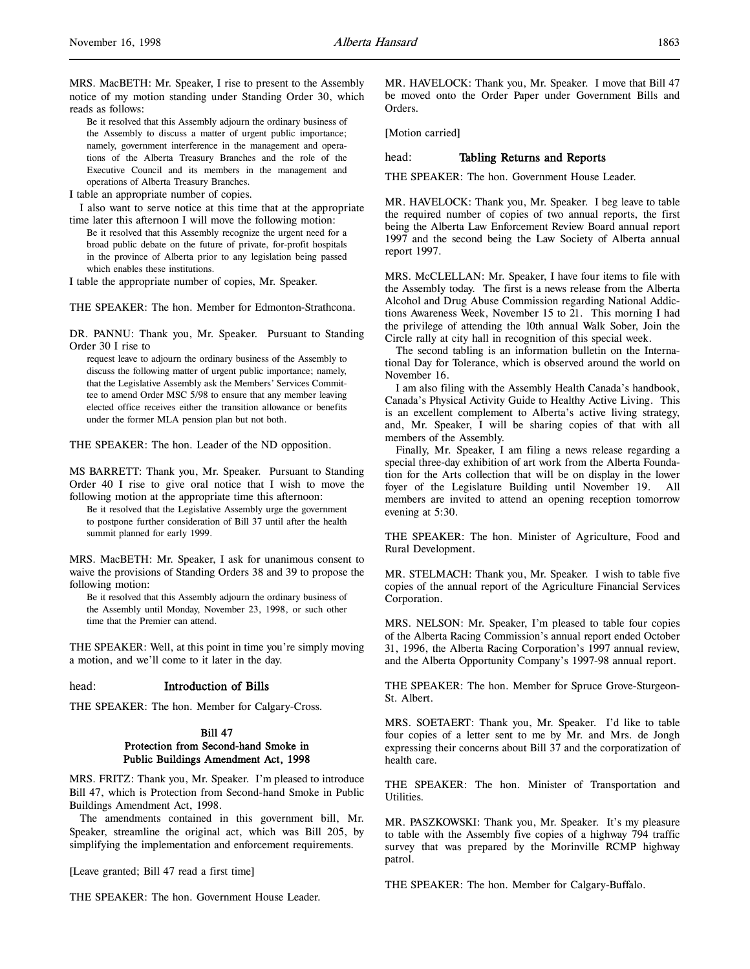MRS. MacBETH: Mr. Speaker, I rise to present to the Assembly notice of my motion standing under Standing Order 30, which reads as follows:

Be it resolved that this Assembly adjourn the ordinary business of the Assembly to discuss a matter of urgent public importance; namely, government interference in the management and operations of the Alberta Treasury Branches and the role of the Executive Council and its members in the management and operations of Alberta Treasury Branches.

I table an appropriate number of copies.

I also want to serve notice at this time that at the appropriate time later this afternoon I will move the following motion:

Be it resolved that this Assembly recognize the urgent need for a broad public debate on the future of private, for-profit hospitals in the province of Alberta prior to any legislation being passed which enables these institutions.

I table the appropriate number of copies, Mr. Speaker.

THE SPEAKER: The hon. Member for Edmonton-Strathcona.

DR. PANNU: Thank you, Mr. Speaker. Pursuant to Standing Order 30 I rise to

request leave to adjourn the ordinary business of the Assembly to discuss the following matter of urgent public importance; namely, that the Legislative Assembly ask the Members' Services Committee to amend Order MSC 5/98 to ensure that any member leaving elected office receives either the transition allowance or benefits under the former MLA pension plan but not both.

THE SPEAKER: The hon. Leader of the ND opposition.

MS BARRETT: Thank you, Mr. Speaker. Pursuant to Standing Order 40 I rise to give oral notice that I wish to move the following motion at the appropriate time this afternoon:

Be it resolved that the Legislative Assembly urge the government to postpone further consideration of Bill 37 until after the health summit planned for early 1999.

MRS. MacBETH: Mr. Speaker, I ask for unanimous consent to waive the provisions of Standing Orders 38 and 39 to propose the following motion:

Be it resolved that this Assembly adjourn the ordinary business of the Assembly until Monday, November 23, 1998, or such other time that the Premier can attend.

THE SPEAKER: Well, at this point in time you're simply moving a motion, and we'll come to it later in the day.

### head: Introduction of Bills

THE SPEAKER: The hon. Member for Calgary-Cross.

# Bill 47 Protection from Second-hand Smoke in Public Buildings Amendment Act, 1998

MRS. FRITZ: Thank you, Mr. Speaker. I'm pleased to introduce Bill 47, which is Protection from Second-hand Smoke in Public Buildings Amendment Act, 1998.

The amendments contained in this government bill, Mr. Speaker, streamline the original act, which was Bill 205, by simplifying the implementation and enforcement requirements.

[Leave granted; Bill 47 read a first time]

THE SPEAKER: The hon. Government House Leader.

MR. HAVELOCK: Thank you, Mr. Speaker. I move that Bill 47 be moved onto the Order Paper under Government Bills and Orders.

[Motion carried]

### head: Tabling Returns and Reports

THE SPEAKER: The hon. Government House Leader.

MR. HAVELOCK: Thank you, Mr. Speaker. I beg leave to table the required number of copies of two annual reports, the first being the Alberta Law Enforcement Review Board annual report 1997 and the second being the Law Society of Alberta annual report 1997.

MRS. McCLELLAN: Mr. Speaker, I have four items to file with the Assembly today. The first is a news release from the Alberta Alcohol and Drug Abuse Commission regarding National Addictions Awareness Week, November 15 to 21. This morning I had the privilege of attending the 10th annual Walk Sober, Join the Circle rally at city hall in recognition of this special week.

The second tabling is an information bulletin on the International Day for Tolerance, which is observed around the world on November 16.

I am also filing with the Assembly Health Canada's handbook, Canada's Physical Activity Guide to Healthy Active Living. This is an excellent complement to Alberta's active living strategy, and, Mr. Speaker, I will be sharing copies of that with all members of the Assembly.

Finally, Mr. Speaker, I am filing a news release regarding a special three-day exhibition of art work from the Alberta Foundation for the Arts collection that will be on display in the lower foyer of the Legislature Building until November 19. All members are invited to attend an opening reception tomorrow evening at 5:30.

THE SPEAKER: The hon. Minister of Agriculture, Food and Rural Development.

MR. STELMACH: Thank you, Mr. Speaker. I wish to table five copies of the annual report of the Agriculture Financial Services Corporation.

MRS. NELSON: Mr. Speaker, I'm pleased to table four copies of the Alberta Racing Commission's annual report ended October 31, 1996, the Alberta Racing Corporation's 1997 annual review, and the Alberta Opportunity Company's 1997-98 annual report.

THE SPEAKER: The hon. Member for Spruce Grove-Sturgeon-St. Albert.

MRS. SOETAERT: Thank you, Mr. Speaker. I'd like to table four copies of a letter sent to me by Mr. and Mrs. de Jongh expressing their concerns about Bill 37 and the corporatization of health care.

THE SPEAKER: The hon. Minister of Transportation and Utilities.

MR. PASZKOWSKI: Thank you, Mr. Speaker. It's my pleasure to table with the Assembly five copies of a highway 794 traffic survey that was prepared by the Morinville RCMP highway patrol.

THE SPEAKER: The hon. Member for Calgary-Buffalo.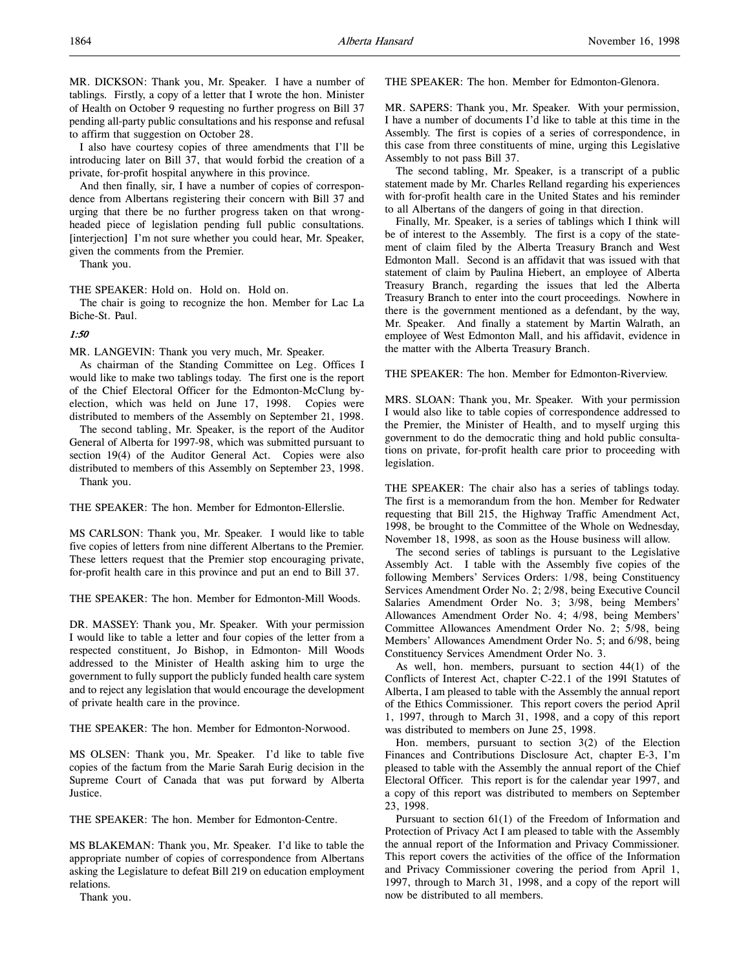MR. DICKSON: Thank you, Mr. Speaker. I have a number of tablings. Firstly, a copy of a letter that I wrote the hon. Minister of Health on October 9 requesting no further progress on Bill 37 pending all-party public consultations and his response and refusal to affirm that suggestion on October 28.

I also have courtesy copies of three amendments that I'll be introducing later on Bill 37, that would forbid the creation of a private, for-profit hospital anywhere in this province.

And then finally, sir, I have a number of copies of correspondence from Albertans registering their concern with Bill 37 and urging that there be no further progress taken on that wrongheaded piece of legislation pending full public consultations. [interjection] I'm not sure whether you could hear, Mr. Speaker, given the comments from the Premier.

Thank you.

THE SPEAKER: Hold on. Hold on. Hold on.

The chair is going to recognize the hon. Member for Lac La Biche-St. Paul.

#### 1:50

MR. LANGEVIN: Thank you very much, Mr. Speaker.

As chairman of the Standing Committee on Leg. Offices I would like to make two tablings today. The first one is the report of the Chief Electoral Officer for the Edmonton-McClung byelection, which was held on June 17, 1998. Copies were distributed to members of the Assembly on September 21, 1998.

The second tabling, Mr. Speaker, is the report of the Auditor General of Alberta for 1997-98, which was submitted pursuant to section 19(4) of the Auditor General Act. Copies were also distributed to members of this Assembly on September 23, 1998. Thank you.

THE SPEAKER: The hon. Member for Edmonton-Ellerslie.

MS CARLSON: Thank you, Mr. Speaker. I would like to table five copies of letters from nine different Albertans to the Premier. These letters request that the Premier stop encouraging private, for-profit health care in this province and put an end to Bill 37.

THE SPEAKER: The hon. Member for Edmonton-Mill Woods.

DR. MASSEY: Thank you, Mr. Speaker. With your permission I would like to table a letter and four copies of the letter from a respected constituent, Jo Bishop, in Edmonton- Mill Woods addressed to the Minister of Health asking him to urge the government to fully support the publicly funded health care system and to reject any legislation that would encourage the development of private health care in the province.

THE SPEAKER: The hon. Member for Edmonton-Norwood.

MS OLSEN: Thank you, Mr. Speaker. I'd like to table five copies of the factum from the Marie Sarah Eurig decision in the Supreme Court of Canada that was put forward by Alberta Justice.

THE SPEAKER: The hon. Member for Edmonton-Centre.

MS BLAKEMAN: Thank you, Mr. Speaker. I'd like to table the appropriate number of copies of correspondence from Albertans asking the Legislature to defeat Bill 219 on education employment relations.

Thank you.

THE SPEAKER: The hon. Member for Edmonton-Glenora.

MR. SAPERS: Thank you, Mr. Speaker. With your permission, I have a number of documents I'd like to table at this time in the Assembly. The first is copies of a series of correspondence, in this case from three constituents of mine, urging this Legislative Assembly to not pass Bill 37.

The second tabling, Mr. Speaker, is a transcript of a public statement made by Mr. Charles Relland regarding his experiences with for-profit health care in the United States and his reminder to all Albertans of the dangers of going in that direction.

Finally, Mr. Speaker, is a series of tablings which I think will be of interest to the Assembly. The first is a copy of the statement of claim filed by the Alberta Treasury Branch and West Edmonton Mall. Second is an affidavit that was issued with that statement of claim by Paulina Hiebert, an employee of Alberta Treasury Branch, regarding the issues that led the Alberta Treasury Branch to enter into the court proceedings. Nowhere in there is the government mentioned as a defendant, by the way, Mr. Speaker. And finally a statement by Martin Walrath, an employee of West Edmonton Mall, and his affidavit, evidence in the matter with the Alberta Treasury Branch.

THE SPEAKER: The hon. Member for Edmonton-Riverview.

MRS. SLOAN: Thank you, Mr. Speaker. With your permission I would also like to table copies of correspondence addressed to the Premier, the Minister of Health, and to myself urging this government to do the democratic thing and hold public consultations on private, for-profit health care prior to proceeding with legislation.

THE SPEAKER: The chair also has a series of tablings today. The first is a memorandum from the hon. Member for Redwater requesting that Bill 215, the Highway Traffic Amendment Act, 1998, be brought to the Committee of the Whole on Wednesday, November 18, 1998, as soon as the House business will allow.

The second series of tablings is pursuant to the Legislative Assembly Act. I table with the Assembly five copies of the following Members' Services Orders: 1/98, being Constituency Services Amendment Order No. 2; 2/98, being Executive Council Salaries Amendment Order No. 3; 3/98, being Members' Allowances Amendment Order No. 4; 4/98, being Members' Committee Allowances Amendment Order No. 2; 5/98, being Members' Allowances Amendment Order No. 5; and 6/98, being Constituency Services Amendment Order No. 3.

As well, hon. members, pursuant to section 44(1) of the Conflicts of Interest Act, chapter C-22.1 of the 1991 Statutes of Alberta, I am pleased to table with the Assembly the annual report of the Ethics Commissioner. This report covers the period April 1, 1997, through to March 31, 1998, and a copy of this report was distributed to members on June 25, 1998.

Hon. members, pursuant to section 3(2) of the Election Finances and Contributions Disclosure Act, chapter E-3, I'm pleased to table with the Assembly the annual report of the Chief Electoral Officer. This report is for the calendar year 1997, and a copy of this report was distributed to members on September 23, 1998.

Pursuant to section 61(1) of the Freedom of Information and Protection of Privacy Act I am pleased to table with the Assembly the annual report of the Information and Privacy Commissioner. This report covers the activities of the office of the Information and Privacy Commissioner covering the period from April 1, 1997, through to March 31, 1998, and a copy of the report will now be distributed to all members.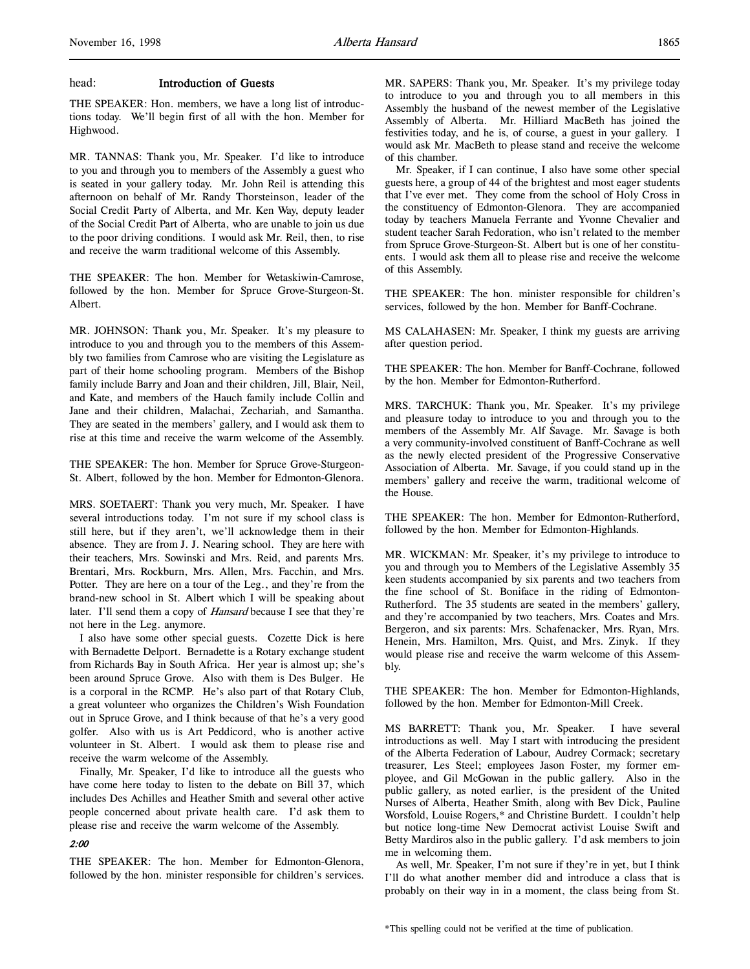## head: Introduction of Guests

THE SPEAKER: Hon. members, we have a long list of introductions today. We'll begin first of all with the hon. Member for Highwood.

MR. TANNAS: Thank you, Mr. Speaker. I'd like to introduce to you and through you to members of the Assembly a guest who is seated in your gallery today. Mr. John Reil is attending this afternoon on behalf of Mr. Randy Thorsteinson, leader of the Social Credit Party of Alberta, and Mr. Ken Way, deputy leader of the Social Credit Part of Alberta, who are unable to join us due to the poor driving conditions. I would ask Mr. Reil, then, to rise and receive the warm traditional welcome of this Assembly.

THE SPEAKER: The hon. Member for Wetaskiwin-Camrose, followed by the hon. Member for Spruce Grove-Sturgeon-St. Albert.

MR. JOHNSON: Thank you, Mr. Speaker. It's my pleasure to introduce to you and through you to the members of this Assembly two families from Camrose who are visiting the Legislature as part of their home schooling program. Members of the Bishop family include Barry and Joan and their children, Jill, Blair, Neil, and Kate, and members of the Hauch family include Collin and Jane and their children, Malachai, Zechariah, and Samantha. They are seated in the members' gallery, and I would ask them to rise at this time and receive the warm welcome of the Assembly.

THE SPEAKER: The hon. Member for Spruce Grove-Sturgeon-St. Albert, followed by the hon. Member for Edmonton-Glenora.

MRS. SOETAERT: Thank you very much, Mr. Speaker. I have several introductions today. I'm not sure if my school class is still here, but if they aren't, we'll acknowledge them in their absence. They are from J. J. Nearing school. They are here with their teachers, Mrs. Sowinski and Mrs. Reid, and parents Mrs. Brentari, Mrs. Rockburn, Mrs. Allen, Mrs. Facchin, and Mrs. Potter. They are here on a tour of the Leg., and they're from the brand-new school in St. Albert which I will be speaking about later. I'll send them a copy of Hansard because I see that they're not here in the Leg. anymore.

I also have some other special guests. Cozette Dick is here with Bernadette Delport. Bernadette is a Rotary exchange student from Richards Bay in South Africa. Her year is almost up; she's been around Spruce Grove. Also with them is Des Bulger. He is a corporal in the RCMP. He's also part of that Rotary Club, a great volunteer who organizes the Children's Wish Foundation out in Spruce Grove, and I think because of that he's a very good golfer. Also with us is Art Peddicord, who is another active volunteer in St. Albert. I would ask them to please rise and receive the warm welcome of the Assembly.

Finally, Mr. Speaker, I'd like to introduce all the guests who have come here today to listen to the debate on Bill 37, which includes Des Achilles and Heather Smith and several other active people concerned about private health care. I'd ask them to please rise and receive the warm welcome of the Assembly.

### 2:00

THE SPEAKER: The hon. Member for Edmonton-Glenora, followed by the hon. minister responsible for children's services. MR. SAPERS: Thank you, Mr. Speaker. It's my privilege today to introduce to you and through you to all members in this Assembly the husband of the newest member of the Legislative Assembly of Alberta. Mr. Hilliard MacBeth has joined the festivities today, and he is, of course, a guest in your gallery. I would ask Mr. MacBeth to please stand and receive the welcome of this chamber.

Mr. Speaker, if I can continue, I also have some other special guests here, a group of 44 of the brightest and most eager students that I've ever met. They come from the school of Holy Cross in the constituency of Edmonton-Glenora. They are accompanied today by teachers Manuela Ferrante and Yvonne Chevalier and student teacher Sarah Fedoration, who isn't related to the member from Spruce Grove-Sturgeon-St. Albert but is one of her constituents. I would ask them all to please rise and receive the welcome of this Assembly.

THE SPEAKER: The hon. minister responsible for children's services, followed by the hon. Member for Banff-Cochrane.

MS CALAHASEN: Mr. Speaker, I think my guests are arriving after question period.

THE SPEAKER: The hon. Member for Banff-Cochrane, followed by the hon. Member for Edmonton-Rutherford.

MRS. TARCHUK: Thank you, Mr. Speaker. It's my privilege and pleasure today to introduce to you and through you to the members of the Assembly Mr. Alf Savage. Mr. Savage is both a very community-involved constituent of Banff-Cochrane as well as the newly elected president of the Progressive Conservative Association of Alberta. Mr. Savage, if you could stand up in the members' gallery and receive the warm, traditional welcome of the House.

THE SPEAKER: The hon. Member for Edmonton-Rutherford, followed by the hon. Member for Edmonton-Highlands.

MR. WICKMAN: Mr. Speaker, it's my privilege to introduce to you and through you to Members of the Legislative Assembly 35 keen students accompanied by six parents and two teachers from the fine school of St. Boniface in the riding of Edmonton-Rutherford. The 35 students are seated in the members' gallery, and they're accompanied by two teachers, Mrs. Coates and Mrs. Bergeron, and six parents: Mrs. Schafenacker, Mrs. Ryan, Mrs. Henein, Mrs. Hamilton, Mrs. Quist, and Mrs. Zinyk. If they would please rise and receive the warm welcome of this Assembly.

THE SPEAKER: The hon. Member for Edmonton-Highlands, followed by the hon. Member for Edmonton-Mill Creek.

MS BARRETT: Thank you, Mr. Speaker. I have several introductions as well. May I start with introducing the president of the Alberta Federation of Labour, Audrey Cormack; secretary treasurer, Les Steel; employees Jason Foster, my former employee, and Gil McGowan in the public gallery. Also in the public gallery, as noted earlier, is the president of the United Nurses of Alberta, Heather Smith, along with Bev Dick, Pauline Worsfold, Louise Rogers,\* and Christine Burdett. I couldn't help but notice long-time New Democrat activist Louise Swift and Betty Mardiros also in the public gallery. I'd ask members to join me in welcoming them.

As well, Mr. Speaker, I'm not sure if they're in yet, but I think I'll do what another member did and introduce a class that is probably on their way in in a moment, the class being from St.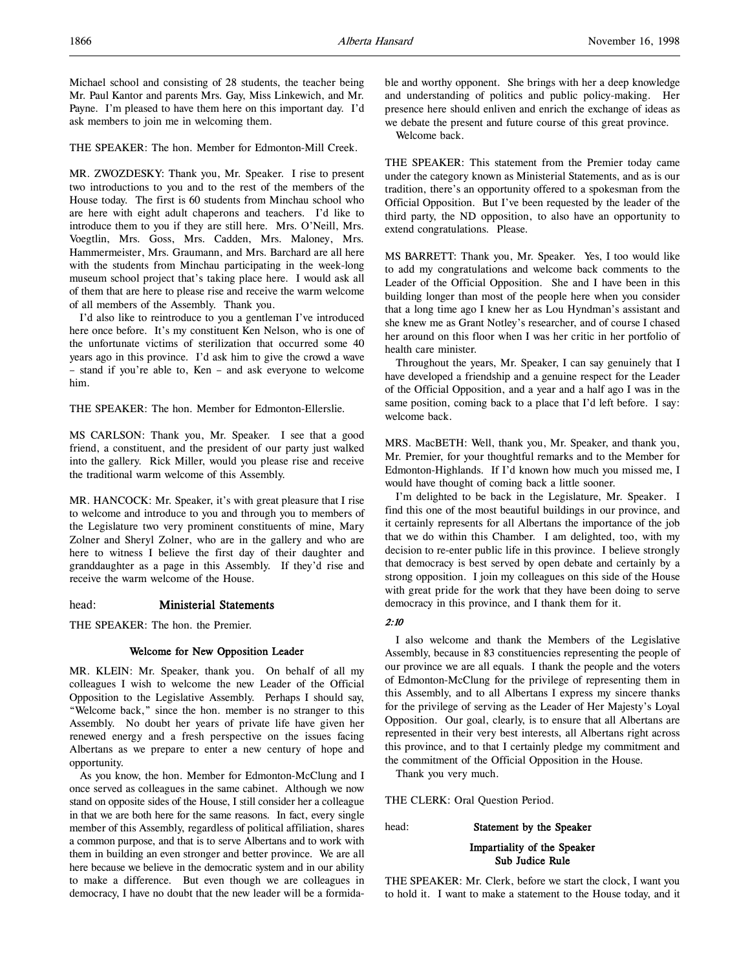THE SPEAKER: The hon. Member for Edmonton-Mill Creek.

MR. ZWOZDESKY: Thank you, Mr. Speaker. I rise to present two introductions to you and to the rest of the members of the House today. The first is 60 students from Minchau school who are here with eight adult chaperons and teachers. I'd like to introduce them to you if they are still here. Mrs. O'Neill, Mrs. Voegtlin, Mrs. Goss, Mrs. Cadden, Mrs. Maloney, Mrs. Hammermeister, Mrs. Graumann, and Mrs. Barchard are all here with the students from Minchau participating in the week-long museum school project that's taking place here. I would ask all of them that are here to please rise and receive the warm welcome of all members of the Assembly. Thank you.

I'd also like to reintroduce to you a gentleman I've introduced here once before. It's my constituent Ken Nelson, who is one of the unfortunate victims of sterilization that occurred some 40 years ago in this province. I'd ask him to give the crowd a wave – stand if you're able to, Ken – and ask everyone to welcome him.

THE SPEAKER: The hon. Member for Edmonton-Ellerslie.

MS CARLSON: Thank you, Mr. Speaker. I see that a good friend, a constituent, and the president of our party just walked into the gallery. Rick Miller, would you please rise and receive the traditional warm welcome of this Assembly.

MR. HANCOCK: Mr. Speaker, it's with great pleasure that I rise to welcome and introduce to you and through you to members of the Legislature two very prominent constituents of mine, Mary Zolner and Sheryl Zolner, who are in the gallery and who are here to witness I believe the first day of their daughter and granddaughter as a page in this Assembly. If they'd rise and receive the warm welcome of the House.

# head: Ministerial Statements

THE SPEAKER: The hon. the Premier.

### Welcome for New Opposition Leader

MR. KLEIN: Mr. Speaker, thank you. On behalf of all my colleagues I wish to welcome the new Leader of the Official Opposition to the Legislative Assembly. Perhaps I should say, "Welcome back," since the hon. member is no stranger to this Assembly. No doubt her years of private life have given her renewed energy and a fresh perspective on the issues facing Albertans as we prepare to enter a new century of hope and opportunity.

As you know, the hon. Member for Edmonton-McClung and I once served as colleagues in the same cabinet. Although we now stand on opposite sides of the House, I still consider her a colleague in that we are both here for the same reasons. In fact, every single member of this Assembly, regardless of political affiliation, shares a common purpose, and that is to serve Albertans and to work with them in building an even stronger and better province. We are all here because we believe in the democratic system and in our ability to make a difference. But even though we are colleagues in democracy, I have no doubt that the new leader will be a formidable and worthy opponent. She brings with her a deep knowledge and understanding of politics and public policy-making. Her presence here should enliven and enrich the exchange of ideas as we debate the present and future course of this great province.

Welcome back.

THE SPEAKER: This statement from the Premier today came under the category known as Ministerial Statements, and as is our tradition, there's an opportunity offered to a spokesman from the Official Opposition. But I've been requested by the leader of the third party, the ND opposition, to also have an opportunity to extend congratulations. Please.

MS BARRETT: Thank you, Mr. Speaker. Yes, I too would like to add my congratulations and welcome back comments to the Leader of the Official Opposition. She and I have been in this building longer than most of the people here when you consider that a long time ago I knew her as Lou Hyndman's assistant and she knew me as Grant Notley's researcher, and of course I chased her around on this floor when I was her critic in her portfolio of health care minister.

Throughout the years, Mr. Speaker, I can say genuinely that I have developed a friendship and a genuine respect for the Leader of the Official Opposition, and a year and a half ago I was in the same position, coming back to a place that I'd left before. I say: welcome back.

MRS. MacBETH: Well, thank you, Mr. Speaker, and thank you, Mr. Premier, for your thoughtful remarks and to the Member for Edmonton-Highlands. If I'd known how much you missed me, I would have thought of coming back a little sooner.

I'm delighted to be back in the Legislature, Mr. Speaker. I find this one of the most beautiful buildings in our province, and it certainly represents for all Albertans the importance of the job that we do within this Chamber. I am delighted, too, with my decision to re-enter public life in this province. I believe strongly that democracy is best served by open debate and certainly by a strong opposition. I join my colleagues on this side of the House with great pride for the work that they have been doing to serve democracy in this province, and I thank them for it.

#### 2:10

I also welcome and thank the Members of the Legislative Assembly, because in 83 constituencies representing the people of our province we are all equals. I thank the people and the voters of Edmonton-McClung for the privilege of representing them in this Assembly, and to all Albertans I express my sincere thanks for the privilege of serving as the Leader of Her Majesty's Loyal Opposition. Our goal, clearly, is to ensure that all Albertans are represented in their very best interests, all Albertans right across this province, and to that I certainly pledge my commitment and the commitment of the Official Opposition in the House.

Thank you very much.

THE CLERK: Oral Question Period.

head: Statement by the Speaker

Impartiality of the Speaker Sub Judice Rule

THE SPEAKER: Mr. Clerk, before we start the clock, I want you to hold it. I want to make a statement to the House today, and it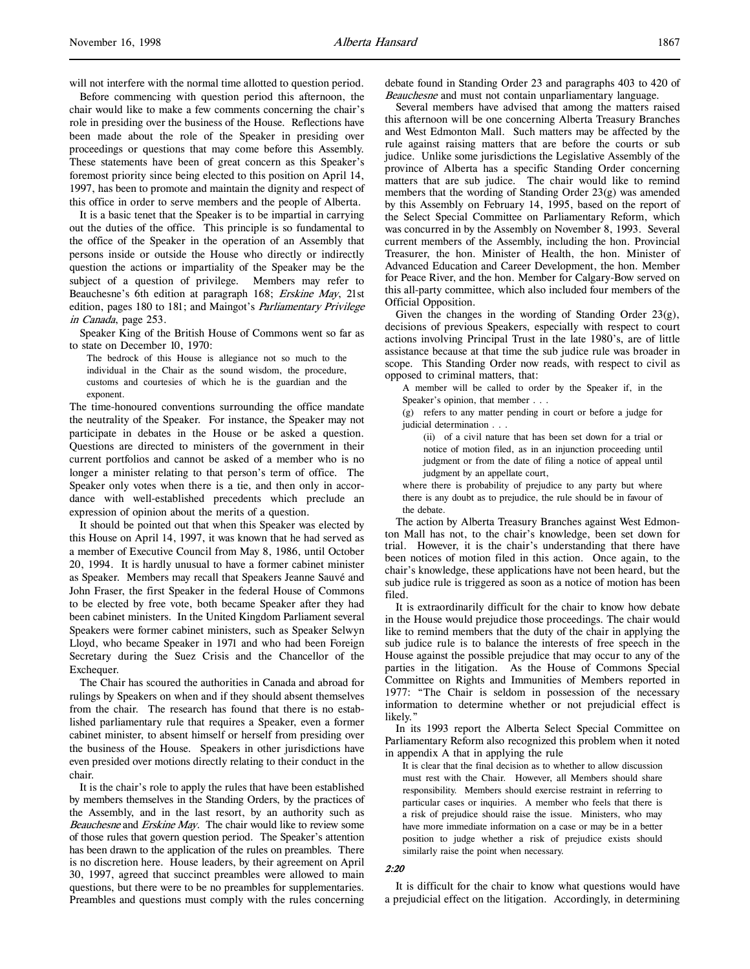will not interfere with the normal time allotted to question period.

Before commencing with question period this afternoon, the chair would like to make a few comments concerning the chair's role in presiding over the business of the House. Reflections have been made about the role of the Speaker in presiding over proceedings or questions that may come before this Assembly. These statements have been of great concern as this Speaker's foremost priority since being elected to this position on April 14, 1997, has been to promote and maintain the dignity and respect of this office in order to serve members and the people of Alberta.

It is a basic tenet that the Speaker is to be impartial in carrying out the duties of the office. This principle is so fundamental to the office of the Speaker in the operation of an Assembly that persons inside or outside the House who directly or indirectly question the actions or impartiality of the Speaker may be the subject of a question of privilege. Members may refer to Beauchesne's 6th edition at paragraph 168; Erskine May, 21st edition, pages 180 to 181; and Maingot's Parliamentary Privilege in Canada, page 253.

Speaker King of the British House of Commons went so far as to state on December 10, 1970:

The bedrock of this House is allegiance not so much to the individual in the Chair as the sound wisdom, the procedure, customs and courtesies of which he is the guardian and the exponent.

The time-honoured conventions surrounding the office mandate the neutrality of the Speaker. For instance, the Speaker may not participate in debates in the House or be asked a question. Questions are directed to ministers of the government in their current portfolios and cannot be asked of a member who is no longer a minister relating to that person's term of office. The Speaker only votes when there is a tie, and then only in accordance with well-established precedents which preclude an expression of opinion about the merits of a question.

It should be pointed out that when this Speaker was elected by this House on April 14, 1997, it was known that he had served as a member of Executive Council from May 8, 1986, until October 20, 1994. It is hardly unusual to have a former cabinet minister as Speaker. Members may recall that Speakers Jeanne Sauvé and John Fraser, the first Speaker in the federal House of Commons to be elected by free vote, both became Speaker after they had been cabinet ministers. In the United Kingdom Parliament several Speakers were former cabinet ministers, such as Speaker Selwyn Lloyd, who became Speaker in 1971 and who had been Foreign Secretary during the Suez Crisis and the Chancellor of the Exchequer.

The Chair has scoured the authorities in Canada and abroad for rulings by Speakers on when and if they should absent themselves from the chair. The research has found that there is no established parliamentary rule that requires a Speaker, even a former cabinet minister, to absent himself or herself from presiding over the business of the House. Speakers in other jurisdictions have even presided over motions directly relating to their conduct in the chair.

It is the chair's role to apply the rules that have been established by members themselves in the Standing Orders, by the practices of the Assembly, and in the last resort, by an authority such as Beauchesne and Erskine May. The chair would like to review some of those rules that govern question period. The Speaker's attention has been drawn to the application of the rules on preambles. There is no discretion here. House leaders, by their agreement on April 30, 1997, agreed that succinct preambles were allowed to main questions, but there were to be no preambles for supplementaries. Preambles and questions must comply with the rules concerning

debate found in Standing Order 23 and paragraphs 403 to 420 of Beauchesne and must not contain unparliamentary language.

Several members have advised that among the matters raised this afternoon will be one concerning Alberta Treasury Branches and West Edmonton Mall. Such matters may be affected by the rule against raising matters that are before the courts or sub judice. Unlike some jurisdictions the Legislative Assembly of the province of Alberta has a specific Standing Order concerning matters that are sub judice. The chair would like to remind members that the wording of Standing Order 23(g) was amended by this Assembly on February 14, 1995, based on the report of the Select Special Committee on Parliamentary Reform, which was concurred in by the Assembly on November 8, 1993. Several current members of the Assembly, including the hon. Provincial Treasurer, the hon. Minister of Health, the hon. Minister of Advanced Education and Career Development, the hon. Member for Peace River, and the hon. Member for Calgary-Bow served on this all-party committee, which also included four members of the Official Opposition.

Given the changes in the wording of Standing Order 23(g), decisions of previous Speakers, especially with respect to court actions involving Principal Trust in the late 1980's, are of little assistance because at that time the sub judice rule was broader in scope. This Standing Order now reads, with respect to civil as opposed to criminal matters, that:

A member will be called to order by the Speaker if, in the Speaker's opinion, that member . . .

(g) refers to any matter pending in court or before a judge for judicial determination . . .

(ii) of a civil nature that has been set down for a trial or notice of motion filed, as in an injunction proceeding until judgment or from the date of filing a notice of appeal until judgment by an appellate court,

where there is probability of prejudice to any party but where there is any doubt as to prejudice, the rule should be in favour of the debate.

The action by Alberta Treasury Branches against West Edmonton Mall has not, to the chair's knowledge, been set down for trial. However, it is the chair's understanding that there have been notices of motion filed in this action. Once again, to the chair's knowledge, these applications have not been heard, but the sub judice rule is triggered as soon as a notice of motion has been filed.

It is extraordinarily difficult for the chair to know how debate in the House would prejudice those proceedings. The chair would like to remind members that the duty of the chair in applying the sub judice rule is to balance the interests of free speech in the House against the possible prejudice that may occur to any of the parties in the litigation. As the House of Commons Special Committee on Rights and Immunities of Members reported in 1977: "The Chair is seldom in possession of the necessary information to determine whether or not prejudicial effect is likely.

In its 1993 report the Alberta Select Special Committee on Parliamentary Reform also recognized this problem when it noted in appendix A that in applying the rule

It is clear that the final decision as to whether to allow discussion must rest with the Chair. However, all Members should share responsibility. Members should exercise restraint in referring to particular cases or inquiries. A member who feels that there is a risk of prejudice should raise the issue. Ministers, who may have more immediate information on a case or may be in a better position to judge whether a risk of prejudice exists should similarly raise the point when necessary.

#### 2:20

It is difficult for the chair to know what questions would have a prejudicial effect on the litigation. Accordingly, in determining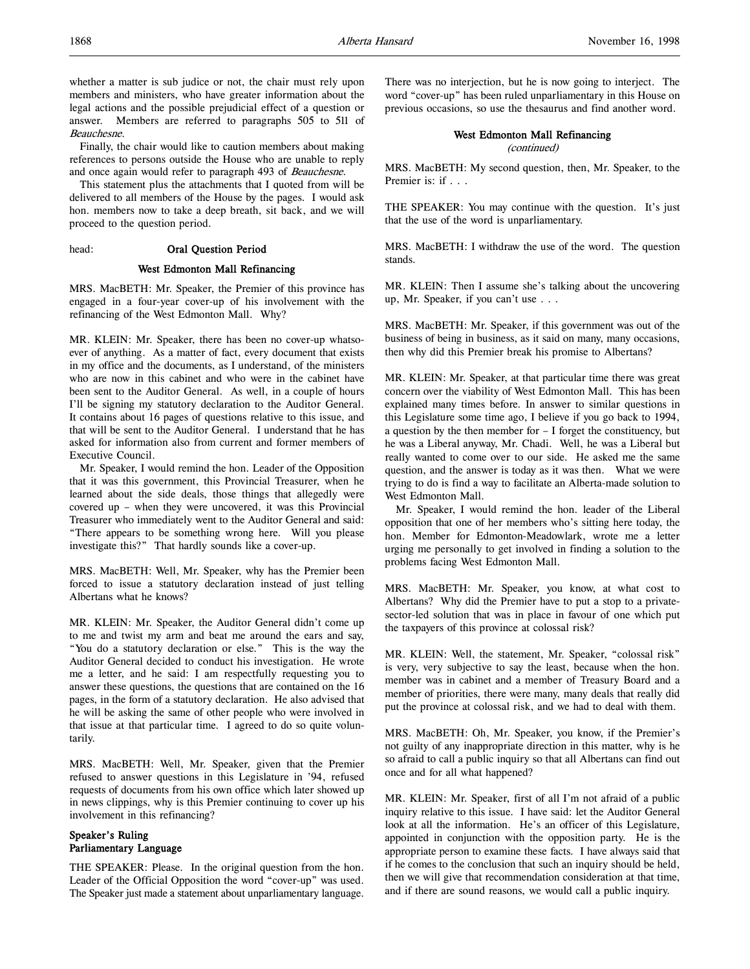whether a matter is sub judice or not, the chair must rely upon members and ministers, who have greater information about the legal actions and the possible prejudicial effect of a question or answer. Members are referred to paragraphs 505 to 511 of Beauchesne.

Finally, the chair would like to caution members about making references to persons outside the House who are unable to reply and once again would refer to paragraph 493 of Beauchesne.

This statement plus the attachments that I quoted from will be delivered to all members of the House by the pages. I would ask hon. members now to take a deep breath, sit back, and we will proceed to the question period.

### head: Oral Question Period

### West Edmonton Mall Refinancing

MRS. MacBETH: Mr. Speaker, the Premier of this province has engaged in a four-year cover-up of his involvement with the refinancing of the West Edmonton Mall. Why?

MR. KLEIN: Mr. Speaker, there has been no cover-up whatsoever of anything. As a matter of fact, every document that exists in my office and the documents, as I understand, of the ministers who are now in this cabinet and who were in the cabinet have been sent to the Auditor General. As well, in a couple of hours I'll be signing my statutory declaration to the Auditor General. It contains about 16 pages of questions relative to this issue, and that will be sent to the Auditor General. I understand that he has asked for information also from current and former members of Executive Council.

Mr. Speaker, I would remind the hon. Leader of the Opposition that it was this government, this Provincial Treasurer, when he learned about the side deals, those things that allegedly were covered up – when they were uncovered, it was this Provincial Treasurer who immediately went to the Auditor General and said: "There appears to be something wrong here. Will you please investigate this?" That hardly sounds like a cover-up.

MRS. MacBETH: Well, Mr. Speaker, why has the Premier been forced to issue a statutory declaration instead of just telling Albertans what he knows?

MR. KLEIN: Mr. Speaker, the Auditor General didn't come up to me and twist my arm and beat me around the ears and say, "You do a statutory declaration or else." This is the way the Auditor General decided to conduct his investigation. He wrote me a letter, and he said: I am respectfully requesting you to answer these questions, the questions that are contained on the 16 pages, in the form of a statutory declaration. He also advised that he will be asking the same of other people who were involved in that issue at that particular time. I agreed to do so quite voluntarily.

MRS. MacBETH: Well, Mr. Speaker, given that the Premier refused to answer questions in this Legislature in '94, refused requests of documents from his own office which later showed up in news clippings, why is this Premier continuing to cover up his involvement in this refinancing?

# Speaker's Ruling Parliamentary Language

THE SPEAKER: Please. In the original question from the hon. Leader of the Official Opposition the word "cover-up" was used. The Speaker just made a statement about unparliamentary language. There was no interjection, but he is now going to interject. The word "cover-up" has been ruled unparliamentary in this House on previous occasions, so use the thesaurus and find another word.

# West Edmonton Mall Refinancing

(continued)

MRS. MacBETH: My second question, then, Mr. Speaker, to the Premier is: if . . .

THE SPEAKER: You may continue with the question. It's just that the use of the word is unparliamentary.

MRS. MacBETH: I withdraw the use of the word. The question stands.

MR. KLEIN: Then I assume she's talking about the uncovering up, Mr. Speaker, if you can't use . . .

MRS. MacBETH: Mr. Speaker, if this government was out of the business of being in business, as it said on many, many occasions, then why did this Premier break his promise to Albertans?

MR. KLEIN: Mr. Speaker, at that particular time there was great concern over the viability of West Edmonton Mall. This has been explained many times before. In answer to similar questions in this Legislature some time ago, I believe if you go back to 1994, a question by the then member for – I forget the constituency, but he was a Liberal anyway, Mr. Chadi. Well, he was a Liberal but really wanted to come over to our side. He asked me the same question, and the answer is today as it was then. What we were trying to do is find a way to facilitate an Alberta-made solution to West Edmonton Mall.

Mr. Speaker, I would remind the hon. leader of the Liberal opposition that one of her members who's sitting here today, the hon. Member for Edmonton-Meadowlark, wrote me a letter urging me personally to get involved in finding a solution to the problems facing West Edmonton Mall.

MRS. MacBETH: Mr. Speaker, you know, at what cost to Albertans? Why did the Premier have to put a stop to a privatesector-led solution that was in place in favour of one which put the taxpayers of this province at colossal risk?

MR. KLEIN: Well, the statement, Mr. Speaker, "colossal risk" is very, very subjective to say the least, because when the hon. member was in cabinet and a member of Treasury Board and a member of priorities, there were many, many deals that really did put the province at colossal risk, and we had to deal with them.

MRS. MacBETH: Oh, Mr. Speaker, you know, if the Premier's not guilty of any inappropriate direction in this matter, why is he so afraid to call a public inquiry so that all Albertans can find out once and for all what happened?

MR. KLEIN: Mr. Speaker, first of all I'm not afraid of a public inquiry relative to this issue. I have said: let the Auditor General look at all the information. He's an officer of this Legislature, appointed in conjunction with the opposition party. He is the appropriate person to examine these facts. I have always said that if he comes to the conclusion that such an inquiry should be held, then we will give that recommendation consideration at that time, and if there are sound reasons, we would call a public inquiry.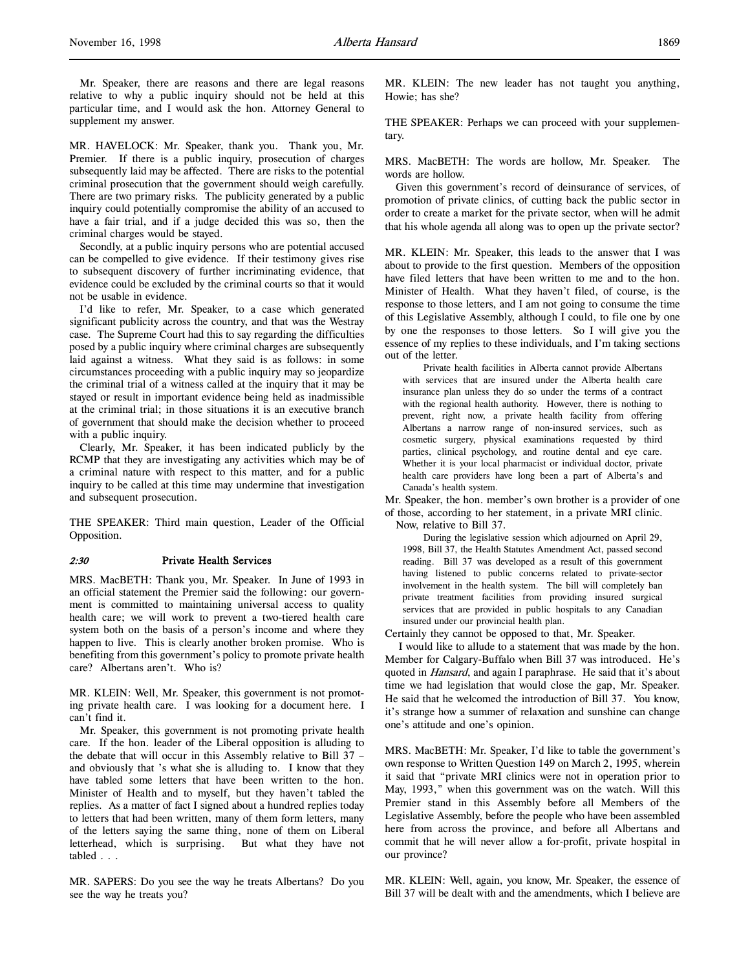Mr. Speaker, there are reasons and there are legal reasons relative to why a public inquiry should not be held at this particular time, and I would ask the hon. Attorney General to supplement my answer.

MR. HAVELOCK: Mr. Speaker, thank you. Thank you, Mr. Premier. If there is a public inquiry, prosecution of charges subsequently laid may be affected. There are risks to the potential criminal prosecution that the government should weigh carefully. There are two primary risks. The publicity generated by a public inquiry could potentially compromise the ability of an accused to have a fair trial, and if a judge decided this was so, then the criminal charges would be stayed.

Secondly, at a public inquiry persons who are potential accused can be compelled to give evidence. If their testimony gives rise to subsequent discovery of further incriminating evidence, that evidence could be excluded by the criminal courts so that it would not be usable in evidence.

I'd like to refer, Mr. Speaker, to a case which generated significant publicity across the country, and that was the Westray case. The Supreme Court had this to say regarding the difficulties posed by a public inquiry where criminal charges are subsequently laid against a witness. What they said is as follows: in some circumstances proceeding with a public inquiry may so jeopardize the criminal trial of a witness called at the inquiry that it may be stayed or result in important evidence being held as inadmissible at the criminal trial; in those situations it is an executive branch of government that should make the decision whether to proceed with a public inquiry.

Clearly, Mr. Speaker, it has been indicated publicly by the RCMP that they are investigating any activities which may be of a criminal nature with respect to this matter, and for a public inquiry to be called at this time may undermine that investigation and subsequent prosecution.

THE SPEAKER: Third main question, Leader of the Official Opposition.

### 2:30 Private Health Services

MRS. MacBETH: Thank you, Mr. Speaker. In June of 1993 in an official statement the Premier said the following: our government is committed to maintaining universal access to quality health care; we will work to prevent a two-tiered health care system both on the basis of a person's income and where they happen to live. This is clearly another broken promise. Who is benefiting from this government's policy to promote private health care? Albertans aren't. Who is?

MR. KLEIN: Well, Mr. Speaker, this government is not promoting private health care. I was looking for a document here. I can't find it.

Mr. Speaker, this government is not promoting private health care. If the hon. leader of the Liberal opposition is alluding to the debate that will occur in this Assembly relative to Bill 37 – and obviously that 's what she is alluding to. I know that they have tabled some letters that have been written to the hon. Minister of Health and to myself, but they haven't tabled the replies. As a matter of fact I signed about a hundred replies today to letters that had been written, many of them form letters, many of the letters saying the same thing, none of them on Liberal letterhead, which is surprising. But what they have not tabled . . .

MR. SAPERS: Do you see the way he treats Albertans? Do you see the way he treats you?

MR. KLEIN: The new leader has not taught you anything, Howie; has she?

THE SPEAKER: Perhaps we can proceed with your supplementary.

MRS. MacBETH: The words are hollow, Mr. Speaker. The words are hollow.

Given this government's record of deinsurance of services, of promotion of private clinics, of cutting back the public sector in order to create a market for the private sector, when will he admit that his whole agenda all along was to open up the private sector?

MR. KLEIN: Mr. Speaker, this leads to the answer that I was about to provide to the first question. Members of the opposition have filed letters that have been written to me and to the hon. Minister of Health. What they haven't filed, of course, is the response to those letters, and I am not going to consume the time of this Legislative Assembly, although I could, to file one by one by one the responses to those letters. So I will give you the essence of my replies to these individuals, and I'm taking sections out of the letter.

Private health facilities in Alberta cannot provide Albertans with services that are insured under the Alberta health care insurance plan unless they do so under the terms of a contract with the regional health authority. However, there is nothing to prevent, right now, a private health facility from offering Albertans a narrow range of non-insured services, such as cosmetic surgery, physical examinations requested by third parties, clinical psychology, and routine dental and eye care. Whether it is your local pharmacist or individual doctor, private health care providers have long been a part of Alberta's and Canada's health system.

Mr. Speaker, the hon. member's own brother is a provider of one of those, according to her statement, in a private MRI clinic.

Now, relative to Bill 37.

During the legislative session which adjourned on April 29, 1998, Bill 37, the Health Statutes Amendment Act, passed second reading. Bill 37 was developed as a result of this government having listened to public concerns related to private-sector involvement in the health system. The bill will completely ban private treatment facilities from providing insured surgical services that are provided in public hospitals to any Canadian insured under our provincial health plan.

Certainly they cannot be opposed to that, Mr. Speaker.

 I would like to allude to a statement that was made by the hon. Member for Calgary-Buffalo when Bill 37 was introduced. He's quoted in *Hansard*, and again I paraphrase. He said that it's about time we had legislation that would close the gap, Mr. Speaker. He said that he welcomed the introduction of Bill 37. You know, it's strange how a summer of relaxation and sunshine can change one's attitude and one's opinion.

MRS. MacBETH: Mr. Speaker, I'd like to table the government's own response to Written Question 149 on March 2, 1995, wherein it said that "private MRI clinics were not in operation prior to May, 1993," when this government was on the watch. Will this Premier stand in this Assembly before all Members of the Legislative Assembly, before the people who have been assembled here from across the province, and before all Albertans and commit that he will never allow a for-profit, private hospital in our province?

MR. KLEIN: Well, again, you know, Mr. Speaker, the essence of Bill 37 will be dealt with and the amendments, which I believe are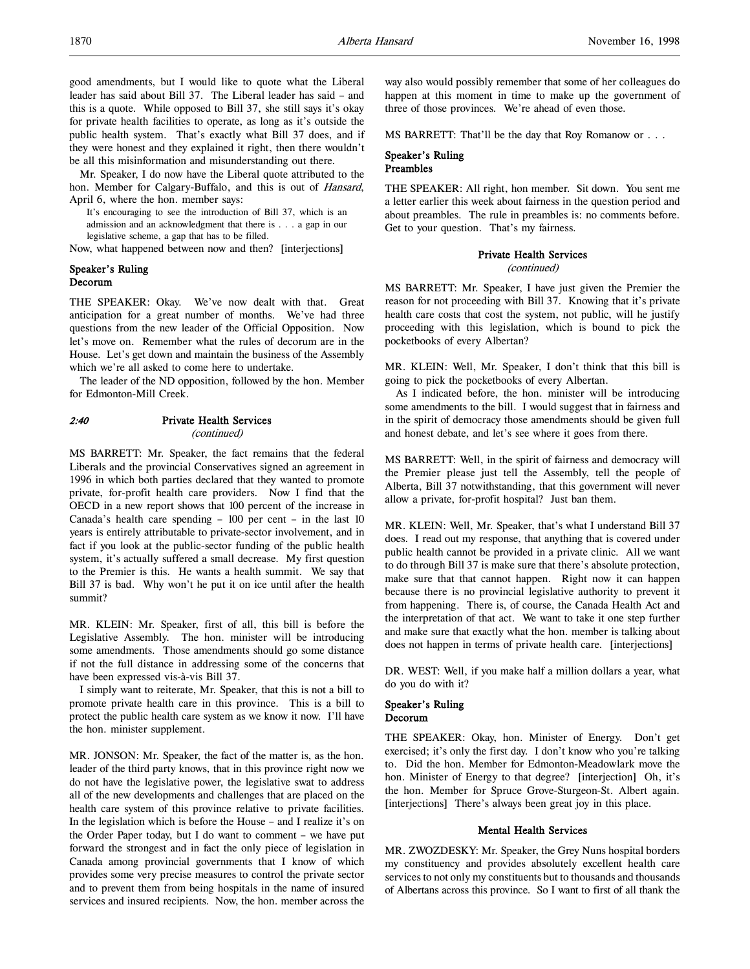good amendments, but I would like to quote what the Liberal leader has said about Bill 37. The Liberal leader has said – and this is a quote. While opposed to Bill 37, she still says it's okay for private health facilities to operate, as long as it's outside the public health system. That's exactly what Bill 37 does, and if they were honest and they explained it right, then there wouldn't be all this misinformation and misunderstanding out there.

Mr. Speaker, I do now have the Liberal quote attributed to the hon. Member for Calgary-Buffalo, and this is out of Hansard, April 6, where the hon. member says:

It's encouraging to see the introduction of Bill 37, which is an admission and an acknowledgment that there is . . . a gap in our legislative scheme, a gap that has to be filled.

Now, what happened between now and then? [interjections]

# Speaker's Ruling Decorum

THE SPEAKER: Okay. We've now dealt with that. Great anticipation for a great number of months. We've had three questions from the new leader of the Official Opposition. Now let's move on. Remember what the rules of decorum are in the House. Let's get down and maintain the business of the Assembly which we're all asked to come here to undertake.

The leader of the ND opposition, followed by the hon. Member for Edmonton-Mill Creek.

# 2:40 Private Health Services

(continued)

MS BARRETT: Mr. Speaker, the fact remains that the federal Liberals and the provincial Conservatives signed an agreement in 1996 in which both parties declared that they wanted to promote private, for-profit health care providers. Now I find that the OECD in a new report shows that 100 percent of the increase in Canada's health care spending – 100 per cent – in the last 10 years is entirely attributable to private-sector involvement, and in fact if you look at the public-sector funding of the public health system, it's actually suffered a small decrease. My first question to the Premier is this. He wants a health summit. We say that Bill 37 is bad. Why won't he put it on ice until after the health summit?

MR. KLEIN: Mr. Speaker, first of all, this bill is before the Legislative Assembly. The hon. minister will be introducing some amendments. Those amendments should go some distance if not the full distance in addressing some of the concerns that have been expressed vis-à-vis Bill 37.

I simply want to reiterate, Mr. Speaker, that this is not a bill to promote private health care in this province. This is a bill to protect the public health care system as we know it now. I'll have the hon. minister supplement.

MR. JONSON: Mr. Speaker, the fact of the matter is, as the hon. leader of the third party knows, that in this province right now we do not have the legislative power, the legislative swat to address all of the new developments and challenges that are placed on the health care system of this province relative to private facilities. In the legislation which is before the House – and I realize it's on the Order Paper today, but I do want to comment – we have put forward the strongest and in fact the only piece of legislation in Canada among provincial governments that I know of which provides some very precise measures to control the private sector and to prevent them from being hospitals in the name of insured services and insured recipients. Now, the hon. member across the

way also would possibly remember that some of her colleagues do happen at this moment in time to make up the government of three of those provinces. We're ahead of even those.

MS BARRETT: That'll be the day that Roy Romanow or . . .

### Speaker's Ruling Preambles

THE SPEAKER: All right, hon member. Sit down. You sent me a letter earlier this week about fairness in the question period and about preambles. The rule in preambles is: no comments before. Get to your question. That's my fairness.

# Private Health Services

(continued)

MS BARRETT: Mr. Speaker, I have just given the Premier the reason for not proceeding with Bill 37. Knowing that it's private health care costs that cost the system, not public, will he justify proceeding with this legislation, which is bound to pick the pocketbooks of every Albertan?

MR. KLEIN: Well, Mr. Speaker, I don't think that this bill is going to pick the pocketbooks of every Albertan.

As I indicated before, the hon. minister will be introducing some amendments to the bill. I would suggest that in fairness and in the spirit of democracy those amendments should be given full and honest debate, and let's see where it goes from there.

MS BARRETT: Well, in the spirit of fairness and democracy will the Premier please just tell the Assembly, tell the people of Alberta, Bill 37 notwithstanding, that this government will never allow a private, for-profit hospital? Just ban them.

MR. KLEIN: Well, Mr. Speaker, that's what I understand Bill 37 does. I read out my response, that anything that is covered under public health cannot be provided in a private clinic. All we want to do through Bill 37 is make sure that there's absolute protection, make sure that that cannot happen. Right now it can happen because there is no provincial legislative authority to prevent it from happening. There is, of course, the Canada Health Act and the interpretation of that act. We want to take it one step further and make sure that exactly what the hon. member is talking about does not happen in terms of private health care. [interjections]

DR. WEST: Well, if you make half a million dollars a year, what do you do with it?

### Speaker's Ruling Decorum

THE SPEAKER: Okay, hon. Minister of Energy. Don't get exercised; it's only the first day. I don't know who you're talking to. Did the hon. Member for Edmonton-Meadowlark move the hon. Minister of Energy to that degree? [interjection] Oh, it's the hon. Member for Spruce Grove-Sturgeon-St. Albert again. [interjections] There's always been great joy in this place.

### Mental Health Services

MR. ZWOZDESKY: Mr. Speaker, the Grey Nuns hospital borders my constituency and provides absolutely excellent health care services to not only my constituents but to thousands and thousands of Albertans across this province. So I want to first of all thank the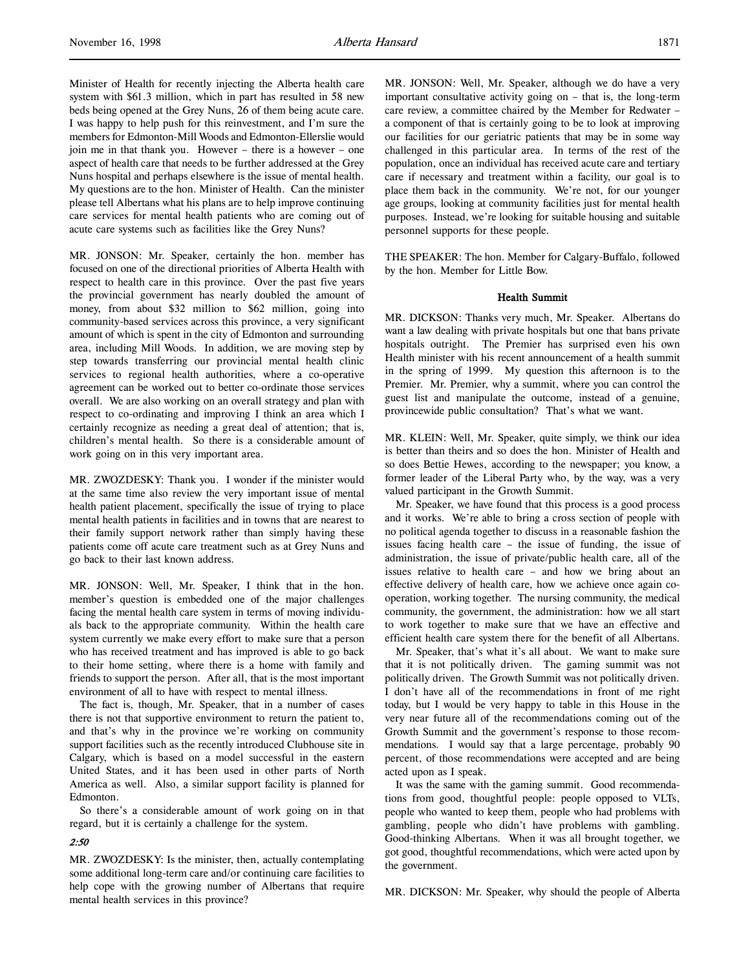Minister of Health for recently injecting the Alberta health care system with \$61.3 million, which in part has resulted in 58 new beds being opened at the Grey Nuns, 26 of them being acute care. I was happy to help push for this reinvestment, and I'm sure the members for Edmonton-Mill Woods and Edmonton-Ellerslie would join me in that thank you. However – there is a however – one aspect of health care that needs to be further addressed at the Grey Nuns hospital and perhaps elsewhere is the issue of mental health. My questions are to the hon. Minister of Health. Can the minister please tell Albertans what his plans are to help improve continuing care services for mental health patients who are coming out of acute care systems such as facilities like the Grey Nuns?

MR. JONSON: Mr. Speaker, certainly the hon. member has focused on one of the directional priorities of Alberta Health with respect to health care in this province. Over the past five years the provincial government has nearly doubled the amount of money, from about \$32 million to \$62 million, going into community-based services across this province, a very significant amount of which is spent in the city of Edmonton and surrounding area, including Mill Woods. In addition, we are moving step by step towards transferring our provincial mental health clinic services to regional health authorities, where a co-operative agreement can be worked out to better co-ordinate those services overall. We are also working on an overall strategy and plan with respect to co-ordinating and improving I think an area which I certainly recognize as needing a great deal of attention; that is, children's mental health. So there is a considerable amount of work going on in this very important area.

MR. ZWOZDESKY: Thank you. I wonder if the minister would at the same time also review the very important issue of mental health patient placement, specifically the issue of trying to place mental health patients in facilities and in towns that are nearest to their family support network rather than simply having these patients come off acute care treatment such as at Grey Nuns and go back to their last known address.

MR. JONSON: Well, Mr. Speaker, I think that in the hon. member's question is embedded one of the major challenges facing the mental health care system in terms of moving individuals back to the appropriate community. Within the health care system currently we make every effort to make sure that a person who has received treatment and has improved is able to go back to their home setting, where there is a home with family and friends to support the person. After all, that is the most important environment of all to have with respect to mental illness.

The fact is, though, Mr. Speaker, that in a number of cases there is not that supportive environment to return the patient to, and that's why in the province we're working on community support facilities such as the recently introduced Clubhouse site in Calgary, which is based on a model successful in the eastern United States, and it has been used in other parts of North America as well. Also, a similar support facility is planned for Edmonton.

So there's a considerable amount of work going on in that regard, but it is certainly a challenge for the system.

### 2:50

MR. ZWOZDESKY: Is the minister, then, actually contemplating some additional long-term care and/or continuing care facilities to help cope with the growing number of Albertans that require mental health services in this province?

MR. JONSON: Well, Mr. Speaker, although we do have a very important consultative activity going on – that is, the long-term care review, a committee chaired by the Member for Redwater – a component of that is certainly going to be to look at improving our facilities for our geriatric patients that may be in some way challenged in this particular area. In terms of the rest of the population, once an individual has received acute care and tertiary care if necessary and treatment within a facility, our goal is to place them back in the community. We're not, for our younger age groups, looking at community facilities just for mental health purposes. Instead, we're looking for suitable housing and suitable personnel supports for these people.

THE SPEAKER: The hon. Member for Calgary-Buffalo, followed by the hon. Member for Little Bow.

### Health Summit

MR. DICKSON: Thanks very much, Mr. Speaker. Albertans do want a law dealing with private hospitals but one that bans private hospitals outright. The Premier has surprised even his own Health minister with his recent announcement of a health summit in the spring of 1999. My question this afternoon is to the Premier. Mr. Premier, why a summit, where you can control the guest list and manipulate the outcome, instead of a genuine, provincewide public consultation? That's what we want.

MR. KLEIN: Well, Mr. Speaker, quite simply, we think our idea is better than theirs and so does the hon. Minister of Health and so does Bettie Hewes, according to the newspaper; you know, a former leader of the Liberal Party who, by the way, was a very valued participant in the Growth Summit.

Mr. Speaker, we have found that this process is a good process and it works. We're able to bring a cross section of people with no political agenda together to discuss in a reasonable fashion the issues facing health care – the issue of funding, the issue of administration, the issue of private/public health care, all of the issues relative to health care – and how we bring about an effective delivery of health care, how we achieve once again cooperation, working together. The nursing community, the medical community, the government, the administration: how we all start to work together to make sure that we have an effective and efficient health care system there for the benefit of all Albertans.

Mr. Speaker, that's what it's all about. We want to make sure that it is not politically driven. The gaming summit was not politically driven. The Growth Summit was not politically driven. I don't have all of the recommendations in front of me right today, but I would be very happy to table in this House in the very near future all of the recommendations coming out of the Growth Summit and the government's response to those recommendations. I would say that a large percentage, probably 90 percent, of those recommendations were accepted and are being acted upon as I speak.

It was the same with the gaming summit. Good recommendations from good, thoughtful people: people opposed to VLTs, people who wanted to keep them, people who had problems with gambling, people who didn't have problems with gambling. Good-thinking Albertans. When it was all brought together, we got good, thoughtful recommendations, which were acted upon by the government.

MR. DICKSON: Mr. Speaker, why should the people of Alberta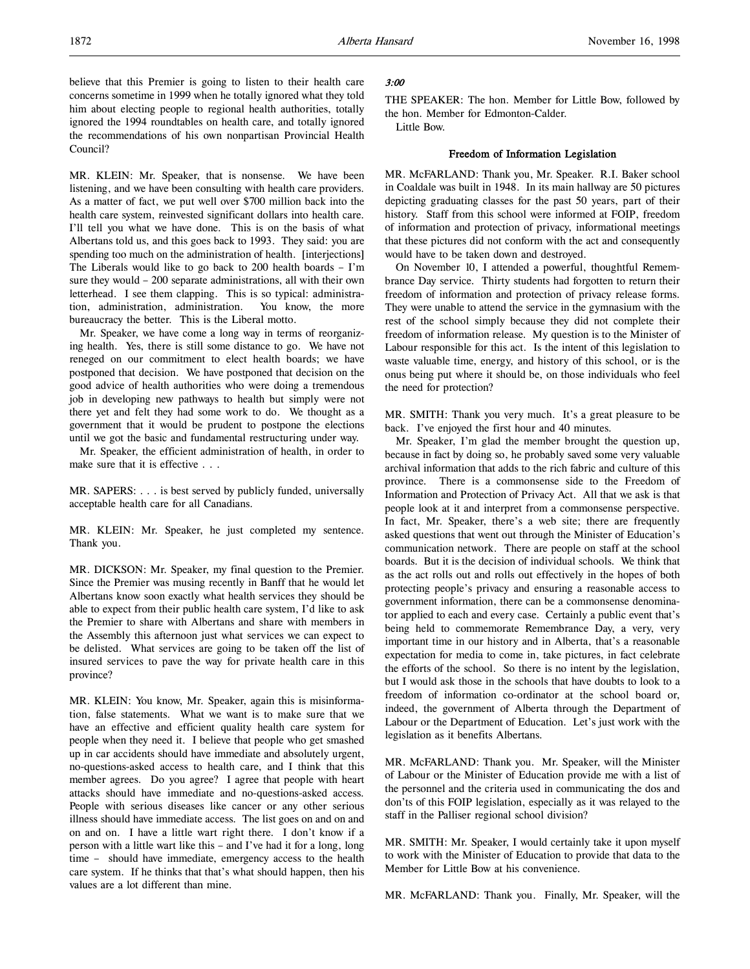believe that this Premier is going to listen to their health care concerns sometime in 1999 when he totally ignored what they told him about electing people to regional health authorities, totally ignored the 1994 roundtables on health care, and totally ignored the recommendations of his own nonpartisan Provincial Health Council?

MR. KLEIN: Mr. Speaker, that is nonsense. We have been listening, and we have been consulting with health care providers. As a matter of fact, we put well over \$700 million back into the health care system, reinvested significant dollars into health care. I'll tell you what we have done. This is on the basis of what Albertans told us, and this goes back to 1993. They said: you are spending too much on the administration of health. [interjections] The Liberals would like to go back to 200 health boards – I'm sure they would – 200 separate administrations, all with their own letterhead. I see them clapping. This is so typical: administration, administration, administration. You know, the more bureaucracy the better. This is the Liberal motto.

Mr. Speaker, we have come a long way in terms of reorganizing health. Yes, there is still some distance to go. We have not reneged on our commitment to elect health boards; we have postponed that decision. We have postponed that decision on the good advice of health authorities who were doing a tremendous job in developing new pathways to health but simply were not there yet and felt they had some work to do. We thought as a government that it would be prudent to postpone the elections until we got the basic and fundamental restructuring under way.

Mr. Speaker, the efficient administration of health, in order to make sure that it is effective . . .

MR. SAPERS: . . . is best served by publicly funded, universally acceptable health care for all Canadians.

MR. KLEIN: Mr. Speaker, he just completed my sentence. Thank you.

MR. DICKSON: Mr. Speaker, my final question to the Premier. Since the Premier was musing recently in Banff that he would let Albertans know soon exactly what health services they should be able to expect from their public health care system, I'd like to ask the Premier to share with Albertans and share with members in the Assembly this afternoon just what services we can expect to be delisted. What services are going to be taken off the list of insured services to pave the way for private health care in this province?

MR. KLEIN: You know, Mr. Speaker, again this is misinformation, false statements. What we want is to make sure that we have an effective and efficient quality health care system for people when they need it. I believe that people who get smashed up in car accidents should have immediate and absolutely urgent, no-questions-asked access to health care, and I think that this member agrees. Do you agree? I agree that people with heart attacks should have immediate and no-questions-asked access. People with serious diseases like cancer or any other serious illness should have immediate access. The list goes on and on and on and on. I have a little wart right there. I don't know if a person with a little wart like this – and I've had it for a long, long time – should have immediate, emergency access to the health care system. If he thinks that that's what should happen, then his values are a lot different than mine.

# 3:00

THE SPEAKER: The hon. Member for Little Bow, followed by the hon. Member for Edmonton-Calder.

Little Bow.

### Freedom of Information Legislation

MR. McFARLAND: Thank you, Mr. Speaker. R.I. Baker school in Coaldale was built in 1948. In its main hallway are 50 pictures depicting graduating classes for the past 50 years, part of their history. Staff from this school were informed at FOIP, freedom of information and protection of privacy, informational meetings that these pictures did not conform with the act and consequently would have to be taken down and destroyed.

On November 10, I attended a powerful, thoughtful Remembrance Day service. Thirty students had forgotten to return their freedom of information and protection of privacy release forms. They were unable to attend the service in the gymnasium with the rest of the school simply because they did not complete their freedom of information release. My question is to the Minister of Labour responsible for this act. Is the intent of this legislation to waste valuable time, energy, and history of this school, or is the onus being put where it should be, on those individuals who feel the need for protection?

MR. SMITH: Thank you very much. It's a great pleasure to be back. I've enjoyed the first hour and 40 minutes.

Mr. Speaker, I'm glad the member brought the question up, because in fact by doing so, he probably saved some very valuable archival information that adds to the rich fabric and culture of this province. There is a commonsense side to the Freedom of Information and Protection of Privacy Act. All that we ask is that people look at it and interpret from a commonsense perspective. In fact, Mr. Speaker, there's a web site; there are frequently asked questions that went out through the Minister of Education's communication network. There are people on staff at the school boards. But it is the decision of individual schools. We think that as the act rolls out and rolls out effectively in the hopes of both protecting people's privacy and ensuring a reasonable access to government information, there can be a commonsense denominator applied to each and every case. Certainly a public event that's being held to commemorate Remembrance Day, a very, very important time in our history and in Alberta, that's a reasonable expectation for media to come in, take pictures, in fact celebrate the efforts of the school. So there is no intent by the legislation, but I would ask those in the schools that have doubts to look to a freedom of information co-ordinator at the school board or, indeed, the government of Alberta through the Department of Labour or the Department of Education. Let's just work with the legislation as it benefits Albertans.

MR. McFARLAND: Thank you. Mr. Speaker, will the Minister of Labour or the Minister of Education provide me with a list of the personnel and the criteria used in communicating the dos and don'ts of this FOIP legislation, especially as it was relayed to the staff in the Palliser regional school division?

MR. SMITH: Mr. Speaker, I would certainly take it upon myself to work with the Minister of Education to provide that data to the Member for Little Bow at his convenience.

MR. McFARLAND: Thank you. Finally, Mr. Speaker, will the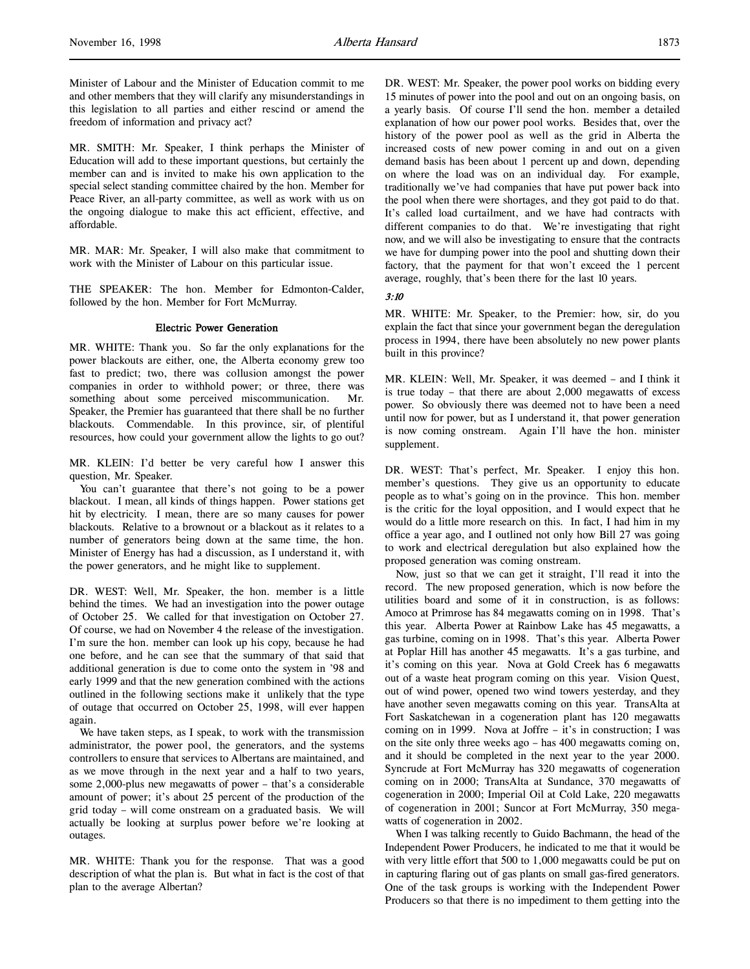Minister of Labour and the Minister of Education commit to me and other members that they will clarify any misunderstandings in this legislation to all parties and either rescind or amend the freedom of information and privacy act?

MR. SMITH: Mr. Speaker, I think perhaps the Minister of Education will add to these important questions, but certainly the member can and is invited to make his own application to the special select standing committee chaired by the hon. Member for Peace River, an all-party committee, as well as work with us on the ongoing dialogue to make this act efficient, effective, and affordable.

MR. MAR: Mr. Speaker, I will also make that commitment to work with the Minister of Labour on this particular issue.

THE SPEAKER: The hon. Member for Edmonton-Calder, followed by the hon. Member for Fort McMurray.

#### Electric Power Generation

MR. WHITE: Thank you. So far the only explanations for the power blackouts are either, one, the Alberta economy grew too fast to predict; two, there was collusion amongst the power companies in order to withhold power; or three, there was something about some perceived miscommunication. Mr. Speaker, the Premier has guaranteed that there shall be no further blackouts. Commendable. In this province, sir, of plentiful resources, how could your government allow the lights to go out?

MR. KLEIN: I'd better be very careful how I answer this question, Mr. Speaker.

You can't guarantee that there's not going to be a power blackout. I mean, all kinds of things happen. Power stations get hit by electricity. I mean, there are so many causes for power blackouts. Relative to a brownout or a blackout as it relates to a number of generators being down at the same time, the hon. Minister of Energy has had a discussion, as I understand it, with the power generators, and he might like to supplement.

DR. WEST: Well, Mr. Speaker, the hon. member is a little behind the times. We had an investigation into the power outage of October 25. We called for that investigation on October 27. Of course, we had on November 4 the release of the investigation. I'm sure the hon. member can look up his copy, because he had one before, and he can see that the summary of that said that additional generation is due to come onto the system in '98 and early 1999 and that the new generation combined with the actions outlined in the following sections make it unlikely that the type of outage that occurred on October 25, 1998, will ever happen again.

We have taken steps, as I speak, to work with the transmission administrator, the power pool, the generators, and the systems controllers to ensure that services to Albertans are maintained, and as we move through in the next year and a half to two years, some 2,000-plus new megawatts of power – that's a considerable amount of power; it's about 25 percent of the production of the grid today – will come onstream on a graduated basis. We will actually be looking at surplus power before we're looking at outages.

MR. WHITE: Thank you for the response. That was a good description of what the plan is. But what in fact is the cost of that plan to the average Albertan?

DR. WEST: Mr. Speaker, the power pool works on bidding every 15 minutes of power into the pool and out on an ongoing basis, on a yearly basis. Of course I'll send the hon. member a detailed explanation of how our power pool works. Besides that, over the history of the power pool as well as the grid in Alberta the increased costs of new power coming in and out on a given demand basis has been about 1 percent up and down, depending on where the load was on an individual day. For example, traditionally we've had companies that have put power back into the pool when there were shortages, and they got paid to do that. It's called load curtailment, and we have had contracts with different companies to do that. We're investigating that right now, and we will also be investigating to ensure that the contracts we have for dumping power into the pool and shutting down their factory, that the payment for that won't exceed the 1 percent average, roughly, that's been there for the last 10 years.

3:10

MR. WHITE: Mr. Speaker, to the Premier: how, sir, do you explain the fact that since your government began the deregulation process in 1994, there have been absolutely no new power plants built in this province?

MR. KLEIN: Well, Mr. Speaker, it was deemed – and I think it is true today – that there are about 2,000 megawatts of excess power. So obviously there was deemed not to have been a need until now for power, but as I understand it, that power generation is now coming onstream. Again I'll have the hon. minister supplement.

DR. WEST: That's perfect, Mr. Speaker. I enjoy this hon. member's questions. They give us an opportunity to educate people as to what's going on in the province. This hon. member is the critic for the loyal opposition, and I would expect that he would do a little more research on this. In fact, I had him in my office a year ago, and I outlined not only how Bill 27 was going to work and electrical deregulation but also explained how the proposed generation was coming onstream.

Now, just so that we can get it straight, I'll read it into the record. The new proposed generation, which is now before the utilities board and some of it in construction, is as follows: Amoco at Primrose has 84 megawatts coming on in 1998. That's this year. Alberta Power at Rainbow Lake has 45 megawatts, a gas turbine, coming on in 1998. That's this year. Alberta Power at Poplar Hill has another 45 megawatts. It's a gas turbine, and it's coming on this year. Nova at Gold Creek has 6 megawatts out of a waste heat program coming on this year. Vision Quest, out of wind power, opened two wind towers yesterday, and they have another seven megawatts coming on this year. TransAlta at Fort Saskatchewan in a cogeneration plant has 120 megawatts coming on in 1999. Nova at Joffre – it's in construction; I was on the site only three weeks ago – has 400 megawatts coming on, and it should be completed in the next year to the year 2000. Syncrude at Fort McMurray has 320 megawatts of cogeneration coming on in 2000; TransAlta at Sundance, 370 megawatts of cogeneration in 2000; Imperial Oil at Cold Lake, 220 megawatts of cogeneration in 2001; Suncor at Fort McMurray, 350 megawatts of cogeneration in 2002.

When I was talking recently to Guido Bachmann, the head of the Independent Power Producers, he indicated to me that it would be with very little effort that 500 to 1,000 megawatts could be put on in capturing flaring out of gas plants on small gas-fired generators. One of the task groups is working with the Independent Power Producers so that there is no impediment to them getting into the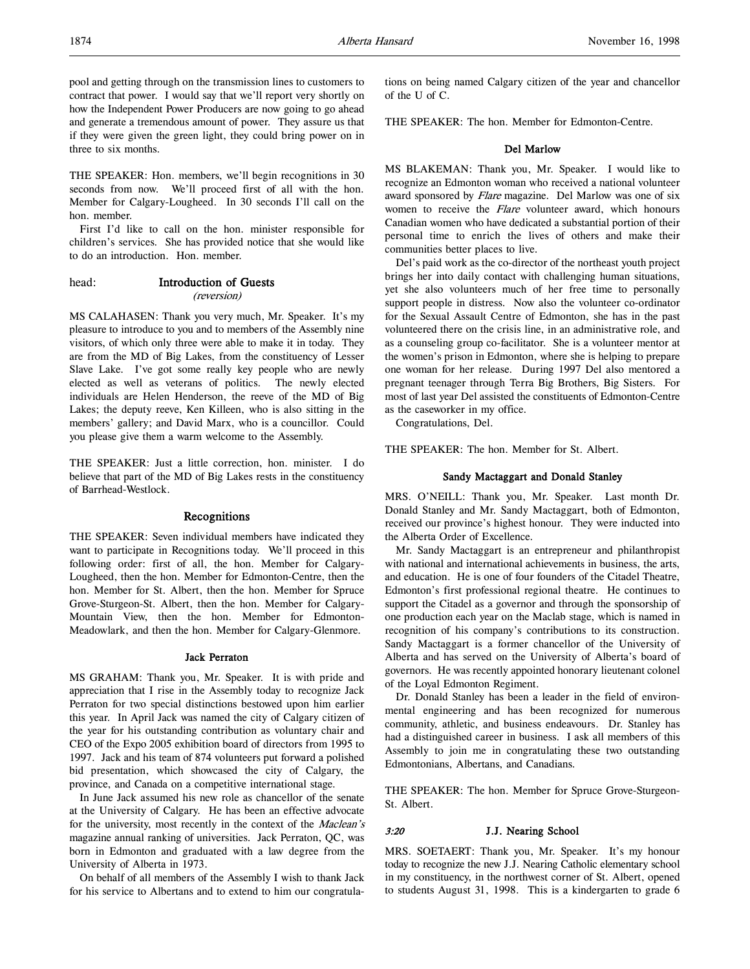pool and getting through on the transmission lines to customers to contract that power. I would say that we'll report very shortly on how the Independent Power Producers are now going to go ahead and generate a tremendous amount of power. They assure us that if they were given the green light, they could bring power on in three to six months.

THE SPEAKER: Hon. members, we'll begin recognitions in 30 seconds from now. We'll proceed first of all with the hon. Member for Calgary-Lougheed. In 30 seconds I'll call on the hon. member.

First I'd like to call on the hon. minister responsible for children's services. She has provided notice that she would like to do an introduction. Hon. member.

head: Introduction of Guests (reversion)

MS CALAHASEN: Thank you very much, Mr. Speaker. It's my pleasure to introduce to you and to members of the Assembly nine visitors, of which only three were able to make it in today. They are from the MD of Big Lakes, from the constituency of Lesser Slave Lake. I've got some really key people who are newly elected as well as veterans of politics. The newly elected individuals are Helen Henderson, the reeve of the MD of Big Lakes; the deputy reeve, Ken Killeen, who is also sitting in the members' gallery; and David Marx, who is a councillor. Could you please give them a warm welcome to the Assembly.

THE SPEAKER: Just a little correction, hon. minister. I do believe that part of the MD of Big Lakes rests in the constituency of Barrhead-Westlock.

### Recognitions

THE SPEAKER: Seven individual members have indicated they want to participate in Recognitions today. We'll proceed in this following order: first of all, the hon. Member for Calgary-Lougheed, then the hon. Member for Edmonton-Centre, then the hon. Member for St. Albert, then the hon. Member for Spruce Grove-Sturgeon-St. Albert, then the hon. Member for Calgary-Mountain View, then the hon. Member for Edmonton-Meadowlark, and then the hon. Member for Calgary-Glenmore.

#### Jack Perraton

MS GRAHAM: Thank you, Mr. Speaker. It is with pride and appreciation that I rise in the Assembly today to recognize Jack Perraton for two special distinctions bestowed upon him earlier this year. In April Jack was named the city of Calgary citizen of the year for his outstanding contribution as voluntary chair and CEO of the Expo 2005 exhibition board of directors from 1995 to 1997. Jack and his team of 874 volunteers put forward a polished bid presentation, which showcased the city of Calgary, the province, and Canada on a competitive international stage.

In June Jack assumed his new role as chancellor of the senate at the University of Calgary. He has been an effective advocate for the university, most recently in the context of the Maclean's magazine annual ranking of universities. Jack Perraton, QC, was born in Edmonton and graduated with a law degree from the University of Alberta in 1973.

On behalf of all members of the Assembly I wish to thank Jack for his service to Albertans and to extend to him our congratulations on being named Calgary citizen of the year and chancellor of the U of C.

THE SPEAKER: The hon. Member for Edmonton-Centre.

### Del Marlow

MS BLAKEMAN: Thank you, Mr. Speaker. I would like to recognize an Edmonton woman who received a national volunteer award sponsored by Flare magazine. Del Marlow was one of six women to receive the Flare volunteer award, which honours Canadian women who have dedicated a substantial portion of their personal time to enrich the lives of others and make their communities better places to live.

Del's paid work as the co-director of the northeast youth project brings her into daily contact with challenging human situations, yet she also volunteers much of her free time to personally support people in distress. Now also the volunteer co-ordinator for the Sexual Assault Centre of Edmonton, she has in the past volunteered there on the crisis line, in an administrative role, and as a counseling group co-facilitator. She is a volunteer mentor at the women's prison in Edmonton, where she is helping to prepare one woman for her release. During 1997 Del also mentored a pregnant teenager through Terra Big Brothers, Big Sisters. For most of last year Del assisted the constituents of Edmonton-Centre as the caseworker in my office.

Congratulations, Del.

THE SPEAKER: The hon. Member for St. Albert.

### Sandy Mactaggart and Donald Stanley

MRS. O'NEILL: Thank you, Mr. Speaker. Last month Dr. Donald Stanley and Mr. Sandy Mactaggart, both of Edmonton, received our province's highest honour. They were inducted into the Alberta Order of Excellence.

Mr. Sandy Mactaggart is an entrepreneur and philanthropist with national and international achievements in business, the arts, and education. He is one of four founders of the Citadel Theatre, Edmonton's first professional regional theatre. He continues to support the Citadel as a governor and through the sponsorship of one production each year on the Maclab stage, which is named in recognition of his company's contributions to its construction. Sandy Mactaggart is a former chancellor of the University of Alberta and has served on the University of Alberta's board of governors. He was recently appointed honorary lieutenant colonel of the Loyal Edmonton Regiment.

Dr. Donald Stanley has been a leader in the field of environmental engineering and has been recognized for numerous community, athletic, and business endeavours. Dr. Stanley has had a distinguished career in business. I ask all members of this Assembly to join me in congratulating these two outstanding Edmontonians, Albertans, and Canadians.

THE SPEAKER: The hon. Member for Spruce Grove-Sturgeon-St. Albert.

### 3:20 J.J. Nearing School

MRS. SOETAERT: Thank you, Mr. Speaker. It's my honour today to recognize the new J.J. Nearing Catholic elementary school in my constituency, in the northwest corner of St. Albert, opened to students August 31, 1998. This is a kindergarten to grade 6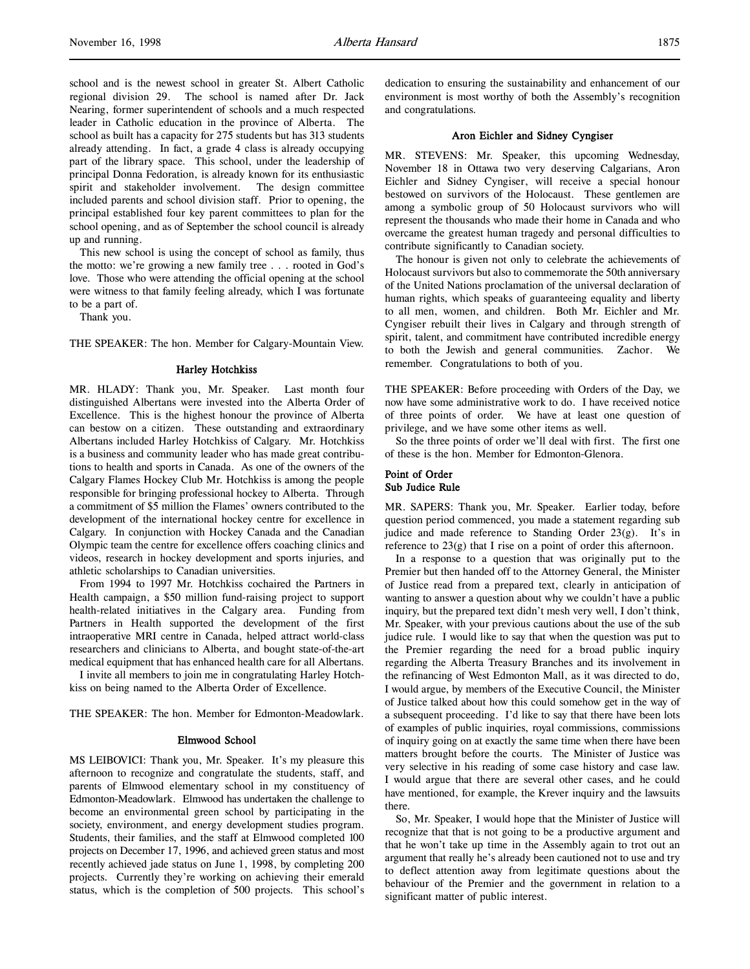school and is the newest school in greater St. Albert Catholic regional division 29. The school is named after Dr. Jack Nearing, former superintendent of schools and a much respected leader in Catholic education in the province of Alberta. The school as built has a capacity for 275 students but has 313 students already attending. In fact, a grade 4 class is already occupying part of the library space. This school, under the leadership of principal Donna Fedoration, is already known for its enthusiastic spirit and stakeholder involvement. The design committee included parents and school division staff. Prior to opening, the principal established four key parent committees to plan for the school opening, and as of September the school council is already up and running.

This new school is using the concept of school as family, thus the motto: we're growing a new family tree . . . rooted in God's love. Those who were attending the official opening at the school were witness to that family feeling already, which I was fortunate to be a part of.

Thank you.

THE SPEAKER: The hon. Member for Calgary-Mountain View.

### Harley Hotchkiss

MR. HLADY: Thank you, Mr. Speaker. Last month four distinguished Albertans were invested into the Alberta Order of Excellence. This is the highest honour the province of Alberta can bestow on a citizen. These outstanding and extraordinary Albertans included Harley Hotchkiss of Calgary. Mr. Hotchkiss is a business and community leader who has made great contributions to health and sports in Canada. As one of the owners of the Calgary Flames Hockey Club Mr. Hotchkiss is among the people responsible for bringing professional hockey to Alberta. Through a commitment of \$5 million the Flames' owners contributed to the development of the international hockey centre for excellence in Calgary. In conjunction with Hockey Canada and the Canadian Olympic team the centre for excellence offers coaching clinics and videos, research in hockey development and sports injuries, and athletic scholarships to Canadian universities.

From 1994 to 1997 Mr. Hotchkiss cochaired the Partners in Health campaign, a \$50 million fund-raising project to support health-related initiatives in the Calgary area. Funding from Partners in Health supported the development of the first intraoperative MRI centre in Canada, helped attract world-class researchers and clinicians to Alberta, and bought state-of-the-art medical equipment that has enhanced health care for all Albertans.

I invite all members to join me in congratulating Harley Hotchkiss on being named to the Alberta Order of Excellence.

THE SPEAKER: The hon. Member for Edmonton-Meadowlark.

#### Elmwood School

MS LEIBOVICI: Thank you, Mr. Speaker. It's my pleasure this afternoon to recognize and congratulate the students, staff, and parents of Elmwood elementary school in my constituency of Edmonton-Meadowlark. Elmwood has undertaken the challenge to become an environmental green school by participating in the society, environment, and energy development studies program. Students, their families, and the staff at Elmwood completed 100 projects on December 17, 1996, and achieved green status and most recently achieved jade status on June 1, 1998, by completing 200 projects. Currently they're working on achieving their emerald status, which is the completion of 500 projects. This school's

dedication to ensuring the sustainability and enhancement of our environment is most worthy of both the Assembly's recognition and congratulations.

### Aron Eichler and Sidney Cyngiser

MR. STEVENS: Mr. Speaker, this upcoming Wednesday, November 18 in Ottawa two very deserving Calgarians, Aron Eichler and Sidney Cyngiser, will receive a special honour bestowed on survivors of the Holocaust. These gentlemen are among a symbolic group of 50 Holocaust survivors who will represent the thousands who made their home in Canada and who overcame the greatest human tragedy and personal difficulties to contribute significantly to Canadian society.

The honour is given not only to celebrate the achievements of Holocaust survivors but also to commemorate the 50th anniversary of the United Nations proclamation of the universal declaration of human rights, which speaks of guaranteeing equality and liberty to all men, women, and children. Both Mr. Eichler and Mr. Cyngiser rebuilt their lives in Calgary and through strength of spirit, talent, and commitment have contributed incredible energy to both the Jewish and general communities. Zachor. We remember. Congratulations to both of you.

THE SPEAKER: Before proceeding with Orders of the Day, we now have some administrative work to do. I have received notice of three points of order. We have at least one question of privilege, and we have some other items as well.

So the three points of order we'll deal with first. The first one of these is the hon. Member for Edmonton-Glenora.

# Point of Order Sub Judice Rule

MR. SAPERS: Thank you, Mr. Speaker. Earlier today, before question period commenced, you made a statement regarding sub judice and made reference to Standing Order 23(g). It's in reference to 23(g) that I rise on a point of order this afternoon.

In a response to a question that was originally put to the Premier but then handed off to the Attorney General, the Minister of Justice read from a prepared text, clearly in anticipation of wanting to answer a question about why we couldn't have a public inquiry, but the prepared text didn't mesh very well, I don't think, Mr. Speaker, with your previous cautions about the use of the sub judice rule. I would like to say that when the question was put to the Premier regarding the need for a broad public inquiry regarding the Alberta Treasury Branches and its involvement in the refinancing of West Edmonton Mall, as it was directed to do, I would argue, by members of the Executive Council, the Minister of Justice talked about how this could somehow get in the way of a subsequent proceeding. I'd like to say that there have been lots of examples of public inquiries, royal commissions, commissions of inquiry going on at exactly the same time when there have been matters brought before the courts. The Minister of Justice was very selective in his reading of some case history and case law. I would argue that there are several other cases, and he could have mentioned, for example, the Krever inquiry and the lawsuits there.

So, Mr. Speaker, I would hope that the Minister of Justice will recognize that that is not going to be a productive argument and that he won't take up time in the Assembly again to trot out an argument that really he's already been cautioned not to use and try to deflect attention away from legitimate questions about the behaviour of the Premier and the government in relation to a significant matter of public interest.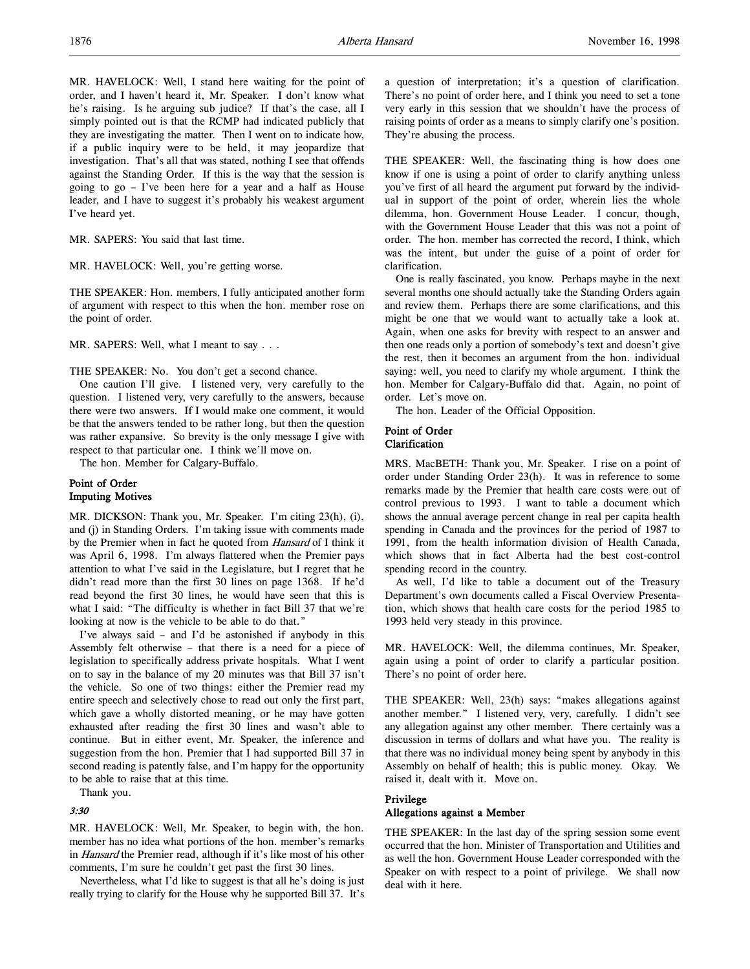MR. HAVELOCK: Well, I stand here waiting for the point of order, and I haven't heard it, Mr. Speaker. I don't know what he's raising. Is he arguing sub judice? If that's the case, all I simply pointed out is that the RCMP had indicated publicly that they are investigating the matter. Then I went on to indicate how, if a public inquiry were to be held, it may jeopardize that investigation. That's all that was stated, nothing I see that offends against the Standing Order. If this is the way that the session is going to go – I've been here for a year and a half as House leader, and I have to suggest it's probably his weakest argument I've heard yet.

MR. SAPERS: You said that last time.

MR. HAVELOCK: Well, you're getting worse.

THE SPEAKER: Hon. members, I fully anticipated another form of argument with respect to this when the hon. member rose on the point of order.

MR. SAPERS: Well, what I meant to say . . .

THE SPEAKER: No. You don't get a second chance.

One caution I'll give. I listened very, very carefully to the question. I listened very, very carefully to the answers, because there were two answers. If I would make one comment, it would be that the answers tended to be rather long, but then the question was rather expansive. So brevity is the only message I give with respect to that particular one. I think we'll move on.

The hon. Member for Calgary-Buffalo.

# Point of Order Imputing Motives

MR. DICKSON: Thank you, Mr. Speaker. I'm citing 23(h), (i), and (j) in Standing Orders. I'm taking issue with comments made by the Premier when in fact he quoted from Hansard of I think it was April 6, 1998. I'm always flattered when the Premier pays attention to what I've said in the Legislature, but I regret that he didn't read more than the first 30 lines on page 1368. If he'd read beyond the first 30 lines, he would have seen that this is what I said: "The difficulty is whether in fact Bill 37 that we're looking at now is the vehicle to be able to do that."

I've always said – and I'd be astonished if anybody in this Assembly felt otherwise – that there is a need for a piece of legislation to specifically address private hospitals. What I went on to say in the balance of my 20 minutes was that Bill 37 isn't the vehicle. So one of two things: either the Premier read my entire speech and selectively chose to read out only the first part, which gave a wholly distorted meaning, or he may have gotten exhausted after reading the first 30 lines and wasn't able to continue. But in either event, Mr. Speaker, the inference and suggestion from the hon. Premier that I had supported Bill 37 in second reading is patently false, and I'm happy for the opportunity to be able to raise that at this time.

Thank you.

### 3:30

MR. HAVELOCK: Well, Mr. Speaker, to begin with, the hon. member has no idea what portions of the hon. member's remarks in Hansard the Premier read, although if it's like most of his other comments, I'm sure he couldn't get past the first 30 lines.

Nevertheless, what I'd like to suggest is that all he's doing is just really trying to clarify for the House why he supported Bill 37. It's

a question of interpretation; it's a question of clarification. There's no point of order here, and I think you need to set a tone very early in this session that we shouldn't have the process of raising points of order as a means to simply clarify one's position. They're abusing the process.

THE SPEAKER: Well, the fascinating thing is how does one know if one is using a point of order to clarify anything unless you've first of all heard the argument put forward by the individual in support of the point of order, wherein lies the whole dilemma, hon. Government House Leader. I concur, though, with the Government House Leader that this was not a point of order. The hon. member has corrected the record, I think, which was the intent, but under the guise of a point of order for clarification.

One is really fascinated, you know. Perhaps maybe in the next several months one should actually take the Standing Orders again and review them. Perhaps there are some clarifications, and this might be one that we would want to actually take a look at. Again, when one asks for brevity with respect to an answer and then one reads only a portion of somebody's text and doesn't give the rest, then it becomes an argument from the hon. individual saying: well, you need to clarify my whole argument. I think the hon. Member for Calgary-Buffalo did that. Again, no point of order. Let's move on.

The hon. Leader of the Official Opposition.

### Point of Order Clarification

MRS. MacBETH: Thank you, Mr. Speaker. I rise on a point of order under Standing Order 23(h). It was in reference to some remarks made by the Premier that health care costs were out of control previous to 1993. I want to table a document which shows the annual average percent change in real per capita health spending in Canada and the provinces for the period of 1987 to 1991, from the health information division of Health Canada, which shows that in fact Alberta had the best cost-control spending record in the country.

As well, I'd like to table a document out of the Treasury Department's own documents called a Fiscal Overview Presentation, which shows that health care costs for the period 1985 to 1993 held very steady in this province.

MR. HAVELOCK: Well, the dilemma continues, Mr. Speaker, again using a point of order to clarify a particular position. There's no point of order here.

THE SPEAKER: Well, 23(h) says: "makes allegations against another member." I listened very, very, carefully. I didn't see any allegation against any other member. There certainly was a discussion in terms of dollars and what have you. The reality is that there was no individual money being spent by anybody in this Assembly on behalf of health; this is public money. Okay. We raised it, dealt with it. Move on.

# Privilege

## Allegations against a Member

THE SPEAKER: In the last day of the spring session some event occurred that the hon. Minister of Transportation and Utilities and as well the hon. Government House Leader corresponded with the Speaker on with respect to a point of privilege. We shall now deal with it here.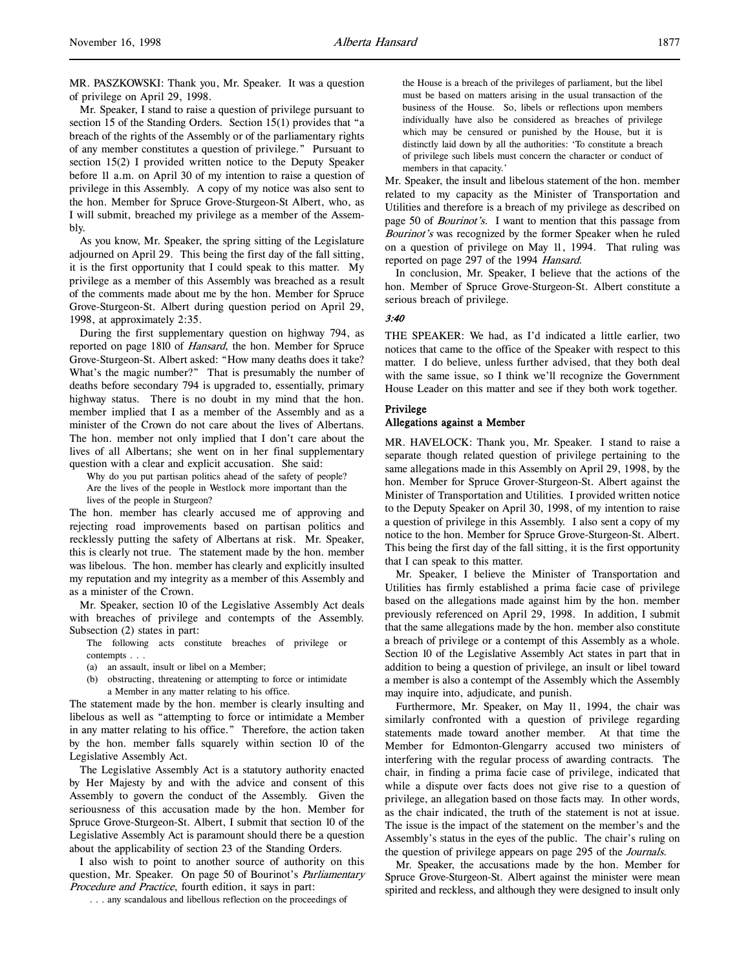MR. PASZKOWSKI: Thank you, Mr. Speaker. It was a question of privilege on April 29, 1998.

Mr. Speaker, I stand to raise a question of privilege pursuant to section 15 of the Standing Orders. Section 15(1) provides that "a breach of the rights of the Assembly or of the parliamentary rights of any member constitutes a question of privilege." Pursuant to section 15(2) I provided written notice to the Deputy Speaker before 11 a.m. on April 30 of my intention to raise a question of privilege in this Assembly. A copy of my notice was also sent to the hon. Member for Spruce Grove-Sturgeon-St Albert, who, as I will submit, breached my privilege as a member of the Assembly.

As you know, Mr. Speaker, the spring sitting of the Legislature adjourned on April 29. This being the first day of the fall sitting, it is the first opportunity that I could speak to this matter. My privilege as a member of this Assembly was breached as a result of the comments made about me by the hon. Member for Spruce Grove-Sturgeon-St. Albert during question period on April 29, 1998, at approximately 2:35.

During the first supplementary question on highway 794, as reported on page 1810 of Hansard, the hon. Member for Spruce Grove-Sturgeon-St. Albert asked: "How many deaths does it take? What's the magic number?" That is presumably the number of deaths before secondary 794 is upgraded to, essentially, primary highway status. There is no doubt in my mind that the hon. member implied that I as a member of the Assembly and as a minister of the Crown do not care about the lives of Albertans. The hon. member not only implied that I don't care about the lives of all Albertans; she went on in her final supplementary question with a clear and explicit accusation. She said:

Why do you put partisan politics ahead of the safety of people? Are the lives of the people in Westlock more important than the lives of the people in Sturgeon?

The hon. member has clearly accused me of approving and rejecting road improvements based on partisan politics and recklessly putting the safety of Albertans at risk. Mr. Speaker, this is clearly not true. The statement made by the hon. member was libelous. The hon. member has clearly and explicitly insulted my reputation and my integrity as a member of this Assembly and as a minister of the Crown.

Mr. Speaker, section 10 of the Legislative Assembly Act deals with breaches of privilege and contempts of the Assembly. Subsection (2) states in part:

The following acts constitute breaches of privilege or contempts . . .

- (a) an assault, insult or libel on a Member;
- (b) obstructing, threatening or attempting to force or intimidate a Member in any matter relating to his office.

The statement made by the hon. member is clearly insulting and libelous as well as "attempting to force or intimidate a Member in any matter relating to his office." Therefore, the action taken by the hon. member falls squarely within section 10 of the Legislative Assembly Act.

The Legislative Assembly Act is a statutory authority enacted by Her Majesty by and with the advice and consent of this Assembly to govern the conduct of the Assembly. Given the seriousness of this accusation made by the hon. Member for Spruce Grove-Sturgeon-St. Albert, I submit that section 10 of the Legislative Assembly Act is paramount should there be a question about the applicability of section 23 of the Standing Orders.

I also wish to point to another source of authority on this question, Mr. Speaker. On page 50 of Bourinot's *Parliamentary* Procedure and Practice, fourth edition, it says in part:

. . . any scandalous and libellous reflection on the proceedings of

the House is a breach of the privileges of parliament, but the libel must be based on matters arising in the usual transaction of the business of the House. So, libels or reflections upon members individually have also be considered as breaches of privilege which may be censured or punished by the House, but it is distinctly laid down by all the authorities: 'To constitute a breach of privilege such libels must concern the character or conduct of members in that capacity.'

Mr. Speaker, the insult and libelous statement of the hon. member related to my capacity as the Minister of Transportation and Utilities and therefore is a breach of my privilege as described on page 50 of *Bourinot's*. I want to mention that this passage from Bourinot's was recognized by the former Speaker when he ruled on a question of privilege on May 11, 1994. That ruling was reported on page 297 of the 1994 Hansard.

In conclusion, Mr. Speaker, I believe that the actions of the hon. Member of Spruce Grove-Sturgeon-St. Albert constitute a serious breach of privilege.

#### 3:40

THE SPEAKER: We had, as I'd indicated a little earlier, two notices that came to the office of the Speaker with respect to this matter. I do believe, unless further advised, that they both deal with the same issue, so I think we'll recognize the Government House Leader on this matter and see if they both work together.

### Privilege

# Allegations against a Member

MR. HAVELOCK: Thank you, Mr. Speaker. I stand to raise a separate though related question of privilege pertaining to the same allegations made in this Assembly on April 29, 1998, by the hon. Member for Spruce Grover-Sturgeon-St. Albert against the Minister of Transportation and Utilities. I provided written notice to the Deputy Speaker on April 30, 1998, of my intention to raise a question of privilege in this Assembly. I also sent a copy of my notice to the hon. Member for Spruce Grove-Sturgeon-St. Albert. This being the first day of the fall sitting, it is the first opportunity that I can speak to this matter.

Mr. Speaker, I believe the Minister of Transportation and Utilities has firmly established a prima facie case of privilege based on the allegations made against him by the hon. member previously referenced on April 29, 1998. In addition, I submit that the same allegations made by the hon. member also constitute a breach of privilege or a contempt of this Assembly as a whole. Section 10 of the Legislative Assembly Act states in part that in addition to being a question of privilege, an insult or libel toward a member is also a contempt of the Assembly which the Assembly may inquire into, adjudicate, and punish.

Furthermore, Mr. Speaker, on May 11, 1994, the chair was similarly confronted with a question of privilege regarding statements made toward another member. At that time the Member for Edmonton-Glengarry accused two ministers of interfering with the regular process of awarding contracts. The chair, in finding a prima facie case of privilege, indicated that while a dispute over facts does not give rise to a question of privilege, an allegation based on those facts may. In other words, as the chair indicated, the truth of the statement is not at issue. The issue is the impact of the statement on the member's and the Assembly's status in the eyes of the public. The chair's ruling on the question of privilege appears on page 295 of the *Journals*.

Mr. Speaker, the accusations made by the hon. Member for Spruce Grove-Sturgeon-St. Albert against the minister were mean spirited and reckless, and although they were designed to insult only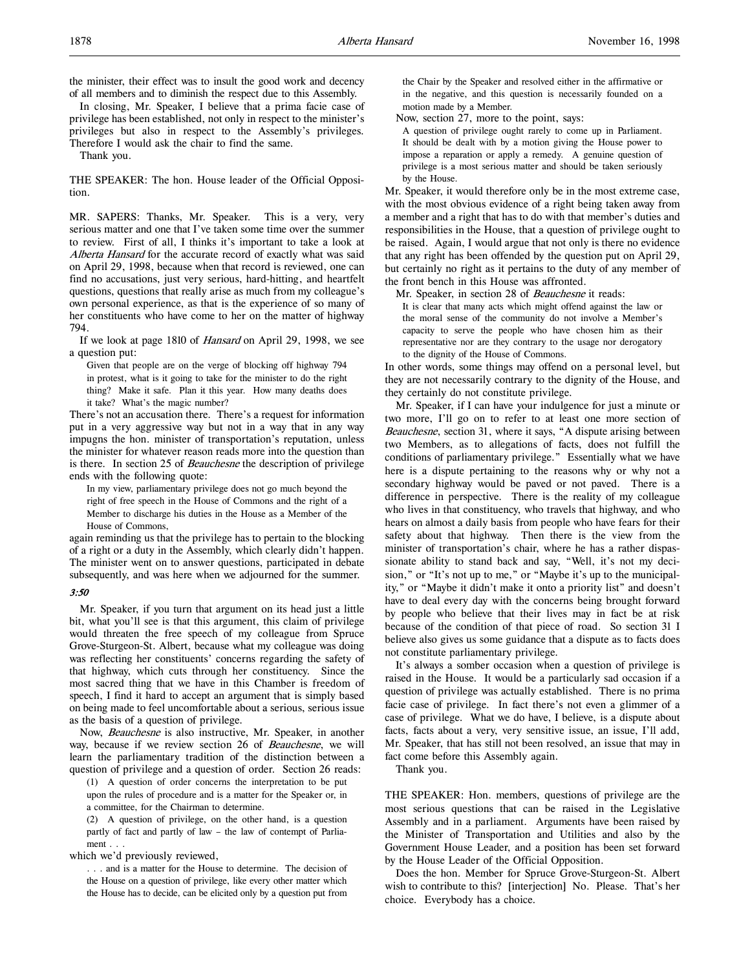the minister, their effect was to insult the good work and decency of all members and to diminish the respect due to this Assembly.

In closing, Mr. Speaker, I believe that a prima facie case of privilege has been established, not only in respect to the minister's privileges but also in respect to the Assembly's privileges. Therefore I would ask the chair to find the same.

Thank you.

THE SPEAKER: The hon. House leader of the Official Opposition.

MR. SAPERS: Thanks, Mr. Speaker. This is a very, very serious matter and one that I've taken some time over the summer to review. First of all, I thinks it's important to take a look at Alberta Hansard for the accurate record of exactly what was said on April 29, 1998, because when that record is reviewed, one can find no accusations, just very serious, hard-hitting, and heartfelt questions, questions that really arise as much from my colleague's own personal experience, as that is the experience of so many of her constituents who have come to her on the matter of highway 794.

If we look at page 1810 of Hansard on April 29, 1998, we see a question put:

Given that people are on the verge of blocking off highway 794 in protest, what is it going to take for the minister to do the right thing? Make it safe. Plan it this year. How many deaths does it take? What's the magic number?

There's not an accusation there. There's a request for information put in a very aggressive way but not in a way that in any way impugns the hon. minister of transportation's reputation, unless the minister for whatever reason reads more into the question than is there. In section 25 of Beauchesne the description of privilege ends with the following quote:

In my view, parliamentary privilege does not go much beyond the right of free speech in the House of Commons and the right of a Member to discharge his duties in the House as a Member of the House of Commons,

again reminding us that the privilege has to pertain to the blocking of a right or a duty in the Assembly, which clearly didn't happen. The minister went on to answer questions, participated in debate subsequently, and was here when we adjourned for the summer.

# 3:50

Mr. Speaker, if you turn that argument on its head just a little bit, what you'll see is that this argument, this claim of privilege would threaten the free speech of my colleague from Spruce Grove-Sturgeon-St. Albert, because what my colleague was doing was reflecting her constituents' concerns regarding the safety of that highway, which cuts through her constituency. Since the most sacred thing that we have in this Chamber is freedom of speech, I find it hard to accept an argument that is simply based on being made to feel uncomfortable about a serious, serious issue as the basis of a question of privilege.

Now, Beauchesne is also instructive, Mr. Speaker, in another way, because if we review section 26 of Beauchesne, we will learn the parliamentary tradition of the distinction between a question of privilege and a question of order. Section 26 reads:

(1) A question of order concerns the interpretation to be put upon the rules of procedure and is a matter for the Speaker or, in a committee, for the Chairman to determine.

(2) A question of privilege, on the other hand, is a question partly of fact and partly of law – the law of contempt of Parliament . . .

which we'd previously reviewed,

. . . and is a matter for the House to determine. The decision of the House on a question of privilege, like every other matter which the House has to decide, can be elicited only by a question put from

the Chair by the Speaker and resolved either in the affirmative or in the negative, and this question is necessarily founded on a motion made by a Member.

Now, section 27, more to the point, says:

A question of privilege ought rarely to come up in Parliament. It should be dealt with by a motion giving the House power to impose a reparation or apply a remedy. A genuine question of privilege is a most serious matter and should be taken seriously by the House.

Mr. Speaker, it would therefore only be in the most extreme case, with the most obvious evidence of a right being taken away from a member and a right that has to do with that member's duties and responsibilities in the House, that a question of privilege ought to be raised. Again, I would argue that not only is there no evidence that any right has been offended by the question put on April 29, but certainly no right as it pertains to the duty of any member of the front bench in this House was affronted.

Mr. Speaker, in section 28 of *Beauchesne* it reads:

It is clear that many acts which might offend against the law or the moral sense of the community do not involve a Member's capacity to serve the people who have chosen him as their representative nor are they contrary to the usage nor derogatory to the dignity of the House of Commons.

In other words, some things may offend on a personal level, but they are not necessarily contrary to the dignity of the House, and they certainly do not constitute privilege.

Mr. Speaker, if I can have your indulgence for just a minute or two more, I'll go on to refer to at least one more section of Beauchesne, section 31, where it says, "A dispute arising between two Members, as to allegations of facts, does not fulfill the conditions of parliamentary privilege." Essentially what we have here is a dispute pertaining to the reasons why or why not a secondary highway would be paved or not paved. There is a difference in perspective. There is the reality of my colleague who lives in that constituency, who travels that highway, and who hears on almost a daily basis from people who have fears for their safety about that highway. Then there is the view from the minister of transportation's chair, where he has a rather dispassionate ability to stand back and say, "Well, it's not my decision," or "It's not up to me," or "Maybe it's up to the municipality," or "Maybe it didn't make it onto a priority list" and doesn't have to deal every day with the concerns being brought forward by people who believe that their lives may in fact be at risk because of the condition of that piece of road. So section 31 I believe also gives us some guidance that a dispute as to facts does not constitute parliamentary privilege.

It's always a somber occasion when a question of privilege is raised in the House. It would be a particularly sad occasion if a question of privilege was actually established. There is no prima facie case of privilege. In fact there's not even a glimmer of a case of privilege. What we do have, I believe, is a dispute about facts, facts about a very, very sensitive issue, an issue, I'll add, Mr. Speaker, that has still not been resolved, an issue that may in fact come before this Assembly again.

Thank you.

THE SPEAKER: Hon. members, questions of privilege are the most serious questions that can be raised in the Legislative Assembly and in a parliament. Arguments have been raised by the Minister of Transportation and Utilities and also by the Government House Leader, and a position has been set forward by the House Leader of the Official Opposition.

Does the hon. Member for Spruce Grove-Sturgeon-St. Albert wish to contribute to this? [interjection] No. Please. That's her choice. Everybody has a choice.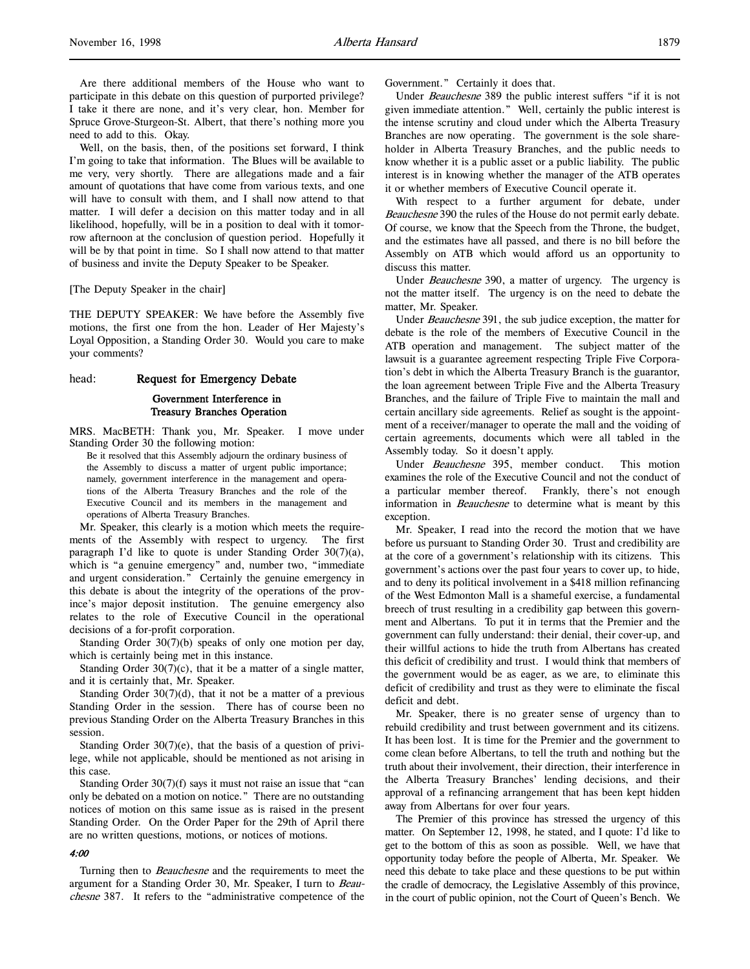Well, on the basis, then, of the positions set forward, I think I'm going to take that information. The Blues will be available to me very, very shortly. There are allegations made and a fair amount of quotations that have come from various texts, and one will have to consult with them, and I shall now attend to that matter. I will defer a decision on this matter today and in all likelihood, hopefully, will be in a position to deal with it tomorrow afternoon at the conclusion of question period. Hopefully it will be by that point in time. So I shall now attend to that matter of business and invite the Deputy Speaker to be Speaker.

#### [The Deputy Speaker in the chair]

THE DEPUTY SPEAKER: We have before the Assembly five motions, the first one from the hon. Leader of Her Majesty's Loyal Opposition, a Standing Order 30. Would you care to make your comments?

#### head: Request for Emergency Debate

### Government Interference in Treasury Branches Operation

MRS. MacBETH: Thank you, Mr. Speaker. I move under Standing Order 30 the following motion:

Be it resolved that this Assembly adjourn the ordinary business of the Assembly to discuss a matter of urgent public importance; namely, government interference in the management and operations of the Alberta Treasury Branches and the role of the Executive Council and its members in the management and operations of Alberta Treasury Branches.

Mr. Speaker, this clearly is a motion which meets the requirements of the Assembly with respect to urgency. The first paragraph I'd like to quote is under Standing Order 30(7)(a), which is "a genuine emergency" and, number two, "immediate and urgent consideration." Certainly the genuine emergency in this debate is about the integrity of the operations of the province's major deposit institution. The genuine emergency also relates to the role of Executive Council in the operational decisions of a for-profit corporation.

Standing Order 30(7)(b) speaks of only one motion per day, which is certainly being met in this instance.

Standing Order  $30(7)(c)$ , that it be a matter of a single matter, and it is certainly that, Mr. Speaker.

Standing Order  $30(7)(d)$ , that it not be a matter of a previous Standing Order in the session. There has of course been no previous Standing Order on the Alberta Treasury Branches in this session.

Standing Order  $30(7)(e)$ , that the basis of a question of privilege, while not applicable, should be mentioned as not arising in this case.

Standing Order  $30(7)(f)$  says it must not raise an issue that "can only be debated on a motion on notice." There are no outstanding notices of motion on this same issue as is raised in the present Standing Order. On the Order Paper for the 29th of April there are no written questions, motions, or notices of motions.

### 4:00

Turning then to *Beauchesne* and the requirements to meet the argument for a Standing Order 30, Mr. Speaker, I turn to Beauchesne 387. It refers to the "administrative competence of the

Government." Certainly it does that.

Under Beauchesne 389 the public interest suffers "if it is not given immediate attention." Well, certainly the public interest is the intense scrutiny and cloud under which the Alberta Treasury Branches are now operating. The government is the sole shareholder in Alberta Treasury Branches, and the public needs to know whether it is a public asset or a public liability. The public interest is in knowing whether the manager of the ATB operates it or whether members of Executive Council operate it.

With respect to a further argument for debate, under Beauchesne 390 the rules of the House do not permit early debate. Of course, we know that the Speech from the Throne, the budget, and the estimates have all passed, and there is no bill before the Assembly on ATB which would afford us an opportunity to discuss this matter.

Under Beauchesne 390, a matter of urgency. The urgency is not the matter itself. The urgency is on the need to debate the matter, Mr. Speaker.

Under Beauchesne 391, the sub judice exception, the matter for debate is the role of the members of Executive Council in the ATB operation and management. The subject matter of the lawsuit is a guarantee agreement respecting Triple Five Corporation's debt in which the Alberta Treasury Branch is the guarantor, the loan agreement between Triple Five and the Alberta Treasury Branches, and the failure of Triple Five to maintain the mall and certain ancillary side agreements. Relief as sought is the appointment of a receiver/manager to operate the mall and the voiding of certain agreements, documents which were all tabled in the Assembly today. So it doesn't apply.

Under Beauchesne 395, member conduct. This motion examines the role of the Executive Council and not the conduct of a particular member thereof. Frankly, there's not enough information in *Beauchesne* to determine what is meant by this exception.

Mr. Speaker, I read into the record the motion that we have before us pursuant to Standing Order 30. Trust and credibility are at the core of a government's relationship with its citizens. This government's actions over the past four years to cover up, to hide, and to deny its political involvement in a \$418 million refinancing of the West Edmonton Mall is a shameful exercise, a fundamental breech of trust resulting in a credibility gap between this government and Albertans. To put it in terms that the Premier and the government can fully understand: their denial, their cover-up, and their willful actions to hide the truth from Albertans has created this deficit of credibility and trust. I would think that members of the government would be as eager, as we are, to eliminate this deficit of credibility and trust as they were to eliminate the fiscal deficit and debt.

Mr. Speaker, there is no greater sense of urgency than to rebuild credibility and trust between government and its citizens. It has been lost. It is time for the Premier and the government to come clean before Albertans, to tell the truth and nothing but the truth about their involvement, their direction, their interference in the Alberta Treasury Branches' lending decisions, and their approval of a refinancing arrangement that has been kept hidden away from Albertans for over four years.

The Premier of this province has stressed the urgency of this matter. On September 12, 1998, he stated, and I quote: I'd like to get to the bottom of this as soon as possible. Well, we have that opportunity today before the people of Alberta, Mr. Speaker. We need this debate to take place and these questions to be put within the cradle of democracy, the Legislative Assembly of this province, in the court of public opinion, not the Court of Queen's Bench. We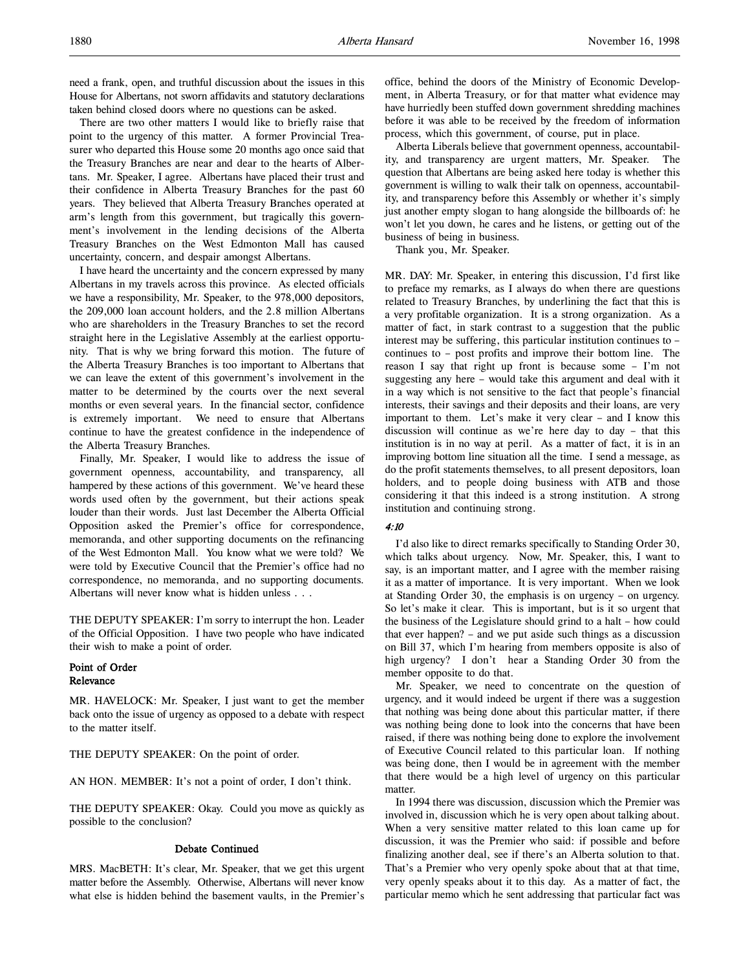need a frank, open, and truthful discussion about the issues in this House for Albertans, not sworn affidavits and statutory declarations taken behind closed doors where no questions can be asked.

There are two other matters I would like to briefly raise that point to the urgency of this matter. A former Provincial Treasurer who departed this House some 20 months ago once said that the Treasury Branches are near and dear to the hearts of Albertans. Mr. Speaker, I agree. Albertans have placed their trust and their confidence in Alberta Treasury Branches for the past 60 years. They believed that Alberta Treasury Branches operated at arm's length from this government, but tragically this government's involvement in the lending decisions of the Alberta Treasury Branches on the West Edmonton Mall has caused uncertainty, concern, and despair amongst Albertans.

I have heard the uncertainty and the concern expressed by many Albertans in my travels across this province. As elected officials we have a responsibility, Mr. Speaker, to the 978,000 depositors, the 209,000 loan account holders, and the 2.8 million Albertans who are shareholders in the Treasury Branches to set the record straight here in the Legislative Assembly at the earliest opportunity. That is why we bring forward this motion. The future of the Alberta Treasury Branches is too important to Albertans that we can leave the extent of this government's involvement in the matter to be determined by the courts over the next several months or even several years. In the financial sector, confidence is extremely important. We need to ensure that Albertans continue to have the greatest confidence in the independence of the Alberta Treasury Branches.

Finally, Mr. Speaker, I would like to address the issue of government openness, accountability, and transparency, all hampered by these actions of this government. We've heard these words used often by the government, but their actions speak louder than their words. Just last December the Alberta Official Opposition asked the Premier's office for correspondence, memoranda, and other supporting documents on the refinancing of the West Edmonton Mall. You know what we were told? We were told by Executive Council that the Premier's office had no correspondence, no memoranda, and no supporting documents. Albertans will never know what is hidden unless . . .

THE DEPUTY SPEAKER: I'm sorry to interrupt the hon. Leader of the Official Opposition. I have two people who have indicated their wish to make a point of order.

# Point of Order Relevance

MR. HAVELOCK: Mr. Speaker, I just want to get the member back onto the issue of urgency as opposed to a debate with respect to the matter itself.

THE DEPUTY SPEAKER: On the point of order.

AN HON. MEMBER: It's not a point of order, I don't think.

THE DEPUTY SPEAKER: Okay. Could you move as quickly as possible to the conclusion?

#### Debate Continued

MRS. MacBETH: It's clear, Mr. Speaker, that we get this urgent matter before the Assembly. Otherwise, Albertans will never know what else is hidden behind the basement vaults, in the Premier's office, behind the doors of the Ministry of Economic Development, in Alberta Treasury, or for that matter what evidence may have hurriedly been stuffed down government shredding machines before it was able to be received by the freedom of information process, which this government, of course, put in place.

Alberta Liberals believe that government openness, accountability, and transparency are urgent matters, Mr. Speaker. The question that Albertans are being asked here today is whether this government is willing to walk their talk on openness, accountability, and transparency before this Assembly or whether it's simply just another empty slogan to hang alongside the billboards of: he won't let you down, he cares and he listens, or getting out of the business of being in business.

Thank you, Mr. Speaker.

MR. DAY: Mr. Speaker, in entering this discussion, I'd first like to preface my remarks, as I always do when there are questions related to Treasury Branches, by underlining the fact that this is a very profitable organization. It is a strong organization. As a matter of fact, in stark contrast to a suggestion that the public interest may be suffering, this particular institution continues to – continues to – post profits and improve their bottom line. The reason I say that right up front is because some – I'm not suggesting any here – would take this argument and deal with it in a way which is not sensitive to the fact that people's financial interests, their savings and their deposits and their loans, are very important to them. Let's make it very clear – and I know this discussion will continue as we're here day to day – that this institution is in no way at peril. As a matter of fact, it is in an improving bottom line situation all the time. I send a message, as do the profit statements themselves, to all present depositors, loan holders, and to people doing business with ATB and those considering it that this indeed is a strong institution. A strong institution and continuing strong.

### 4:10

I'd also like to direct remarks specifically to Standing Order 30, which talks about urgency. Now, Mr. Speaker, this, I want to say, is an important matter, and I agree with the member raising it as a matter of importance. It is very important. When we look at Standing Order 30, the emphasis is on urgency – on urgency. So let's make it clear. This is important, but is it so urgent that the business of the Legislature should grind to a halt – how could that ever happen? – and we put aside such things as a discussion on Bill 37, which I'm hearing from members opposite is also of high urgency? I don't hear a Standing Order 30 from the member opposite to do that.

Mr. Speaker, we need to concentrate on the question of urgency, and it would indeed be urgent if there was a suggestion that nothing was being done about this particular matter, if there was nothing being done to look into the concerns that have been raised, if there was nothing being done to explore the involvement of Executive Council related to this particular loan. If nothing was being done, then I would be in agreement with the member that there would be a high level of urgency on this particular matter.

In 1994 there was discussion, discussion which the Premier was involved in, discussion which he is very open about talking about. When a very sensitive matter related to this loan came up for discussion, it was the Premier who said: if possible and before finalizing another deal, see if there's an Alberta solution to that. That's a Premier who very openly spoke about that at that time, very openly speaks about it to this day. As a matter of fact, the particular memo which he sent addressing that particular fact was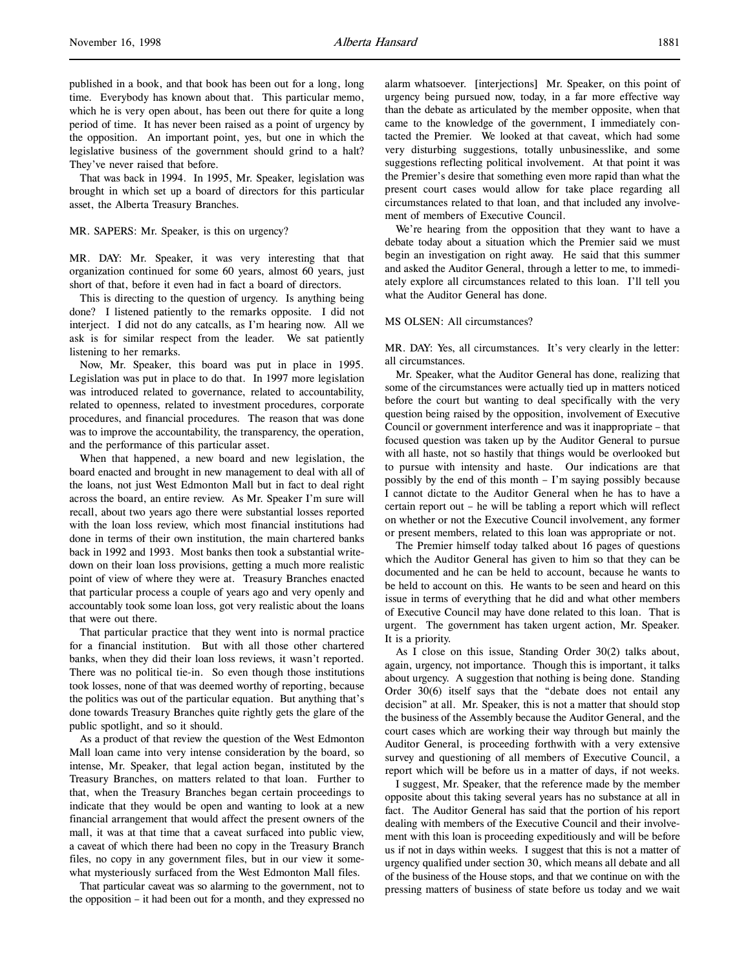That was back in 1994. In 1995, Mr. Speaker, legislation was brought in which set up a board of directors for this particular asset, the Alberta Treasury Branches.

#### MR. SAPERS: Mr. Speaker, is this on urgency?

MR. DAY: Mr. Speaker, it was very interesting that that organization continued for some 60 years, almost 60 years, just short of that, before it even had in fact a board of directors.

This is directing to the question of urgency. Is anything being done? I listened patiently to the remarks opposite. I did not interject. I did not do any catcalls, as I'm hearing now. All we ask is for similar respect from the leader. We sat patiently listening to her remarks.

Now, Mr. Speaker, this board was put in place in 1995. Legislation was put in place to do that. In 1997 more legislation was introduced related to governance, related to accountability, related to openness, related to investment procedures, corporate procedures, and financial procedures. The reason that was done was to improve the accountability, the transparency, the operation, and the performance of this particular asset.

When that happened, a new board and new legislation, the board enacted and brought in new management to deal with all of the loans, not just West Edmonton Mall but in fact to deal right across the board, an entire review. As Mr. Speaker I'm sure will recall, about two years ago there were substantial losses reported with the loan loss review, which most financial institutions had done in terms of their own institution, the main chartered banks back in 1992 and 1993. Most banks then took a substantial writedown on their loan loss provisions, getting a much more realistic point of view of where they were at. Treasury Branches enacted that particular process a couple of years ago and very openly and accountably took some loan loss, got very realistic about the loans that were out there.

That particular practice that they went into is normal practice for a financial institution. But with all those other chartered banks, when they did their loan loss reviews, it wasn't reported. There was no political tie-in. So even though those institutions took losses, none of that was deemed worthy of reporting, because the politics was out of the particular equation. But anything that's done towards Treasury Branches quite rightly gets the glare of the public spotlight, and so it should.

As a product of that review the question of the West Edmonton Mall loan came into very intense consideration by the board, so intense, Mr. Speaker, that legal action began, instituted by the Treasury Branches, on matters related to that loan. Further to that, when the Treasury Branches began certain proceedings to indicate that they would be open and wanting to look at a new financial arrangement that would affect the present owners of the mall, it was at that time that a caveat surfaced into public view, a caveat of which there had been no copy in the Treasury Branch files, no copy in any government files, but in our view it somewhat mysteriously surfaced from the West Edmonton Mall files.

That particular caveat was so alarming to the government, not to the opposition – it had been out for a month, and they expressed no alarm whatsoever. [interjections] Mr. Speaker, on this point of urgency being pursued now, today, in a far more effective way than the debate as articulated by the member opposite, when that came to the knowledge of the government, I immediately contacted the Premier. We looked at that caveat, which had some very disturbing suggestions, totally unbusinesslike, and some suggestions reflecting political involvement. At that point it was the Premier's desire that something even more rapid than what the present court cases would allow for take place regarding all circumstances related to that loan, and that included any involvement of members of Executive Council.

We're hearing from the opposition that they want to have a debate today about a situation which the Premier said we must begin an investigation on right away. He said that this summer and asked the Auditor General, through a letter to me, to immediately explore all circumstances related to this loan. I'll tell you what the Auditor General has done.

### MS OLSEN: All circumstances?

MR. DAY: Yes, all circumstances. It's very clearly in the letter: all circumstances.

Mr. Speaker, what the Auditor General has done, realizing that some of the circumstances were actually tied up in matters noticed before the court but wanting to deal specifically with the very question being raised by the opposition, involvement of Executive Council or government interference and was it inappropriate – that focused question was taken up by the Auditor General to pursue with all haste, not so hastily that things would be overlooked but to pursue with intensity and haste. Our indications are that possibly by the end of this month – I'm saying possibly because I cannot dictate to the Auditor General when he has to have a certain report out – he will be tabling a report which will reflect on whether or not the Executive Council involvement, any former or present members, related to this loan was appropriate or not.

The Premier himself today talked about 16 pages of questions which the Auditor General has given to him so that they can be documented and he can be held to account, because he wants to be held to account on this. He wants to be seen and heard on this issue in terms of everything that he did and what other members of Executive Council may have done related to this loan. That is urgent. The government has taken urgent action, Mr. Speaker. It is a priority.

As I close on this issue, Standing Order 30(2) talks about, again, urgency, not importance. Though this is important, it talks about urgency. A suggestion that nothing is being done. Standing Order 30(6) itself says that the "debate does not entail any decision" at all. Mr. Speaker, this is not a matter that should stop the business of the Assembly because the Auditor General, and the court cases which are working their way through but mainly the Auditor General, is proceeding forthwith with a very extensive survey and questioning of all members of Executive Council, a report which will be before us in a matter of days, if not weeks.

I suggest, Mr. Speaker, that the reference made by the member opposite about this taking several years has no substance at all in fact. The Auditor General has said that the portion of his report dealing with members of the Executive Council and their involvement with this loan is proceeding expeditiously and will be before us if not in days within weeks. I suggest that this is not a matter of urgency qualified under section 30, which means all debate and all of the business of the House stops, and that we continue on with the pressing matters of business of state before us today and we wait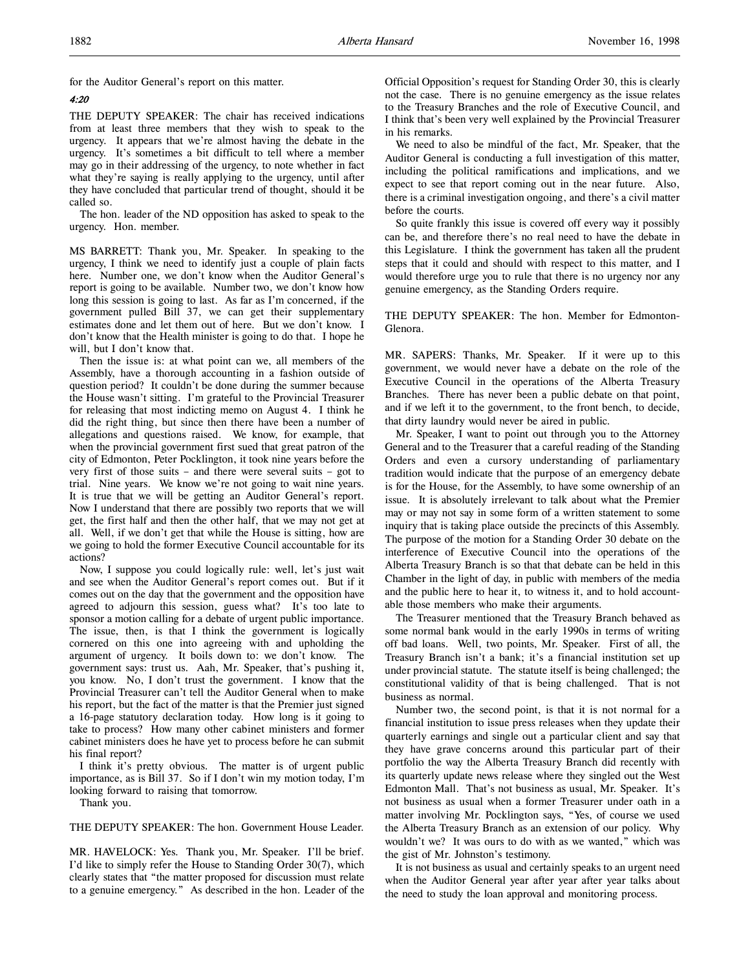for the Auditor General's report on this matter.

# 4:20

THE DEPUTY SPEAKER: The chair has received indications from at least three members that they wish to speak to the urgency. It appears that we're almost having the debate in the urgency. It's sometimes a bit difficult to tell where a member may go in their addressing of the urgency, to note whether in fact what they're saying is really applying to the urgency, until after they have concluded that particular trend of thought, should it be called so.

The hon. leader of the ND opposition has asked to speak to the urgency. Hon. member.

MS BARRETT: Thank you, Mr. Speaker. In speaking to the urgency, I think we need to identify just a couple of plain facts here. Number one, we don't know when the Auditor General's report is going to be available. Number two, we don't know how long this session is going to last. As far as I'm concerned, if the government pulled Bill 37, we can get their supplementary estimates done and let them out of here. But we don't know. I don't know that the Health minister is going to do that. I hope he will, but I don't know that.

Then the issue is: at what point can we, all members of the Assembly, have a thorough accounting in a fashion outside of question period? It couldn't be done during the summer because the House wasn't sitting. I'm grateful to the Provincial Treasurer for releasing that most indicting memo on August 4. I think he did the right thing, but since then there have been a number of allegations and questions raised. We know, for example, that when the provincial government first sued that great patron of the city of Edmonton, Peter Pocklington, it took nine years before the very first of those suits – and there were several suits – got to trial. Nine years. We know we're not going to wait nine years. It is true that we will be getting an Auditor General's report. Now I understand that there are possibly two reports that we will get, the first half and then the other half, that we may not get at all. Well, if we don't get that while the House is sitting, how are we going to hold the former Executive Council accountable for its actions?

Now, I suppose you could logically rule: well, let's just wait and see when the Auditor General's report comes out. But if it comes out on the day that the government and the opposition have agreed to adjourn this session, guess what? It's too late to sponsor a motion calling for a debate of urgent public importance. The issue, then, is that I think the government is logically cornered on this one into agreeing with and upholding the argument of urgency. It boils down to: we don't know. The government says: trust us. Aah, Mr. Speaker, that's pushing it, you know. No, I don't trust the government. I know that the Provincial Treasurer can't tell the Auditor General when to make his report, but the fact of the matter is that the Premier just signed a 16-page statutory declaration today. How long is it going to take to process? How many other cabinet ministers and former cabinet ministers does he have yet to process before he can submit his final report?

I think it's pretty obvious. The matter is of urgent public importance, as is Bill 37. So if I don't win my motion today, I'm looking forward to raising that tomorrow.

Thank you.

THE DEPUTY SPEAKER: The hon. Government House Leader.

MR. HAVELOCK: Yes. Thank you, Mr. Speaker. I'll be brief. I'd like to simply refer the House to Standing Order 30(7), which clearly states that "the matter proposed for discussion must relate to a genuine emergency." As described in the hon. Leader of the Official Opposition's request for Standing Order 30, this is clearly not the case. There is no genuine emergency as the issue relates to the Treasury Branches and the role of Executive Council, and I think that's been very well explained by the Provincial Treasurer in his remarks.

We need to also be mindful of the fact, Mr. Speaker, that the Auditor General is conducting a full investigation of this matter, including the political ramifications and implications, and we expect to see that report coming out in the near future. Also, there is a criminal investigation ongoing, and there's a civil matter before the courts.

So quite frankly this issue is covered off every way it possibly can be, and therefore there's no real need to have the debate in this Legislature. I think the government has taken all the prudent steps that it could and should with respect to this matter, and I would therefore urge you to rule that there is no urgency nor any genuine emergency, as the Standing Orders require.

THE DEPUTY SPEAKER: The hon. Member for Edmonton-Glenora.

MR. SAPERS: Thanks, Mr. Speaker. If it were up to this government, we would never have a debate on the role of the Executive Council in the operations of the Alberta Treasury Branches. There has never been a public debate on that point, and if we left it to the government, to the front bench, to decide, that dirty laundry would never be aired in public.

Mr. Speaker, I want to point out through you to the Attorney General and to the Treasurer that a careful reading of the Standing Orders and even a cursory understanding of parliamentary tradition would indicate that the purpose of an emergency debate is for the House, for the Assembly, to have some ownership of an issue. It is absolutely irrelevant to talk about what the Premier may or may not say in some form of a written statement to some inquiry that is taking place outside the precincts of this Assembly. The purpose of the motion for a Standing Order 30 debate on the interference of Executive Council into the operations of the Alberta Treasury Branch is so that that debate can be held in this Chamber in the light of day, in public with members of the media and the public here to hear it, to witness it, and to hold accountable those members who make their arguments.

The Treasurer mentioned that the Treasury Branch behaved as some normal bank would in the early 1990s in terms of writing off bad loans. Well, two points, Mr. Speaker. First of all, the Treasury Branch isn't a bank; it's a financial institution set up under provincial statute. The statute itself is being challenged; the constitutional validity of that is being challenged. That is not business as normal.

Number two, the second point, is that it is not normal for a financial institution to issue press releases when they update their quarterly earnings and single out a particular client and say that they have grave concerns around this particular part of their portfolio the way the Alberta Treasury Branch did recently with its quarterly update news release where they singled out the West Edmonton Mall. That's not business as usual, Mr. Speaker. It's not business as usual when a former Treasurer under oath in a matter involving Mr. Pocklington says, "Yes, of course we used the Alberta Treasury Branch as an extension of our policy. Why wouldn't we? It was ours to do with as we wanted," which was the gist of Mr. Johnston's testimony.

It is not business as usual and certainly speaks to an urgent need when the Auditor General year after year after year talks about the need to study the loan approval and monitoring process.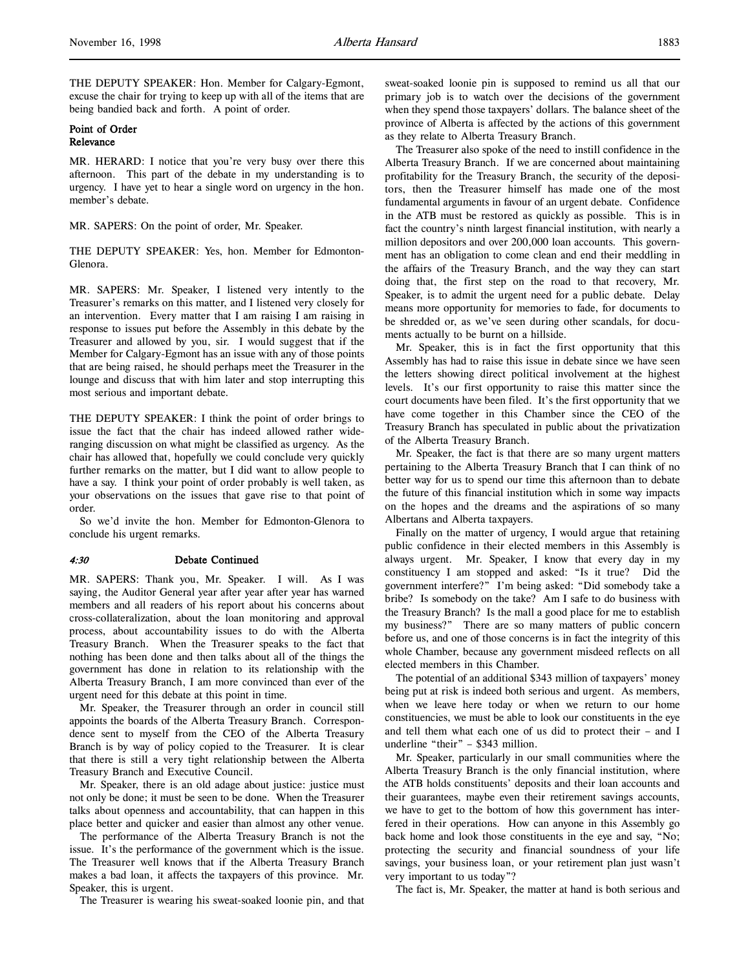THE DEPUTY SPEAKER: Hon. Member for Calgary-Egmont, excuse the chair for trying to keep up with all of the items that are being bandied back and forth. A point of order.

# Point of Order Relevance

MR. HERARD: I notice that you're very busy over there this afternoon. This part of the debate in my understanding is to urgency. I have yet to hear a single word on urgency in the hon. member's debate.

MR. SAPERS: On the point of order, Mr. Speaker.

THE DEPUTY SPEAKER: Yes, hon. Member for Edmonton-Glenora.

MR. SAPERS: Mr. Speaker, I listened very intently to the Treasurer's remarks on this matter, and I listened very closely for an intervention. Every matter that I am raising I am raising in response to issues put before the Assembly in this debate by the Treasurer and allowed by you, sir. I would suggest that if the Member for Calgary-Egmont has an issue with any of those points that are being raised, he should perhaps meet the Treasurer in the lounge and discuss that with him later and stop interrupting this most serious and important debate.

THE DEPUTY SPEAKER: I think the point of order brings to issue the fact that the chair has indeed allowed rather wideranging discussion on what might be classified as urgency. As the chair has allowed that, hopefully we could conclude very quickly further remarks on the matter, but I did want to allow people to have a say. I think your point of order probably is well taken, as your observations on the issues that gave rise to that point of order.

So we'd invite the hon. Member for Edmonton-Glenora to conclude his urgent remarks.

### 4:30 Debate Continued

MR. SAPERS: Thank you, Mr. Speaker. I will. As I was saying, the Auditor General year after year after year has warned members and all readers of his report about his concerns about cross-collateralization, about the loan monitoring and approval process, about accountability issues to do with the Alberta Treasury Branch. When the Treasurer speaks to the fact that nothing has been done and then talks about all of the things the government has done in relation to its relationship with the Alberta Treasury Branch, I am more convinced than ever of the urgent need for this debate at this point in time.

Mr. Speaker, the Treasurer through an order in council still appoints the boards of the Alberta Treasury Branch. Correspondence sent to myself from the CEO of the Alberta Treasury Branch is by way of policy copied to the Treasurer. It is clear that there is still a very tight relationship between the Alberta Treasury Branch and Executive Council.

Mr. Speaker, there is an old adage about justice: justice must not only be done; it must be seen to be done. When the Treasurer talks about openness and accountability, that can happen in this place better and quicker and easier than almost any other venue.

The performance of the Alberta Treasury Branch is not the issue. It's the performance of the government which is the issue. The Treasurer well knows that if the Alberta Treasury Branch makes a bad loan, it affects the taxpayers of this province. Mr. Speaker, this is urgent.

The Treasurer is wearing his sweat-soaked loonie pin, and that

sweat-soaked loonie pin is supposed to remind us all that our primary job is to watch over the decisions of the government when they spend those taxpayers' dollars. The balance sheet of the province of Alberta is affected by the actions of this government as they relate to Alberta Treasury Branch.

The Treasurer also spoke of the need to instill confidence in the Alberta Treasury Branch. If we are concerned about maintaining profitability for the Treasury Branch, the security of the depositors, then the Treasurer himself has made one of the most fundamental arguments in favour of an urgent debate. Confidence in the ATB must be restored as quickly as possible. This is in fact the country's ninth largest financial institution, with nearly a million depositors and over 200,000 loan accounts. This government has an obligation to come clean and end their meddling in the affairs of the Treasury Branch, and the way they can start doing that, the first step on the road to that recovery, Mr. Speaker, is to admit the urgent need for a public debate. Delay means more opportunity for memories to fade, for documents to be shredded or, as we've seen during other scandals, for documents actually to be burnt on a hillside.

Mr. Speaker, this is in fact the first opportunity that this Assembly has had to raise this issue in debate since we have seen the letters showing direct political involvement at the highest levels. It's our first opportunity to raise this matter since the court documents have been filed. It's the first opportunity that we have come together in this Chamber since the CEO of the Treasury Branch has speculated in public about the privatization of the Alberta Treasury Branch.

Mr. Speaker, the fact is that there are so many urgent matters pertaining to the Alberta Treasury Branch that I can think of no better way for us to spend our time this afternoon than to debate the future of this financial institution which in some way impacts on the hopes and the dreams and the aspirations of so many Albertans and Alberta taxpayers.

Finally on the matter of urgency, I would argue that retaining public confidence in their elected members in this Assembly is always urgent. Mr. Speaker, I know that every day in my constituency I am stopped and asked: "Is it true? Did the government interfere?" I'm being asked: "Did somebody take a bribe? Is somebody on the take? Am I safe to do business with the Treasury Branch? Is the mall a good place for me to establish my business?" There are so many matters of public concern before us, and one of those concerns is in fact the integrity of this whole Chamber, because any government misdeed reflects on all elected members in this Chamber.

The potential of an additional \$343 million of taxpayers' money being put at risk is indeed both serious and urgent. As members, when we leave here today or when we return to our home constituencies, we must be able to look our constituents in the eye and tell them what each one of us did to protect their – and I underline "their" – \$343 million.

Mr. Speaker, particularly in our small communities where the Alberta Treasury Branch is the only financial institution, where the ATB holds constituents' deposits and their loan accounts and their guarantees, maybe even their retirement savings accounts, we have to get to the bottom of how this government has interfered in their operations. How can anyone in this Assembly go back home and look those constituents in the eye and say, "No; protecting the security and financial soundness of your life savings, your business loan, or your retirement plan just wasn't very important to us today"?

The fact is, Mr. Speaker, the matter at hand is both serious and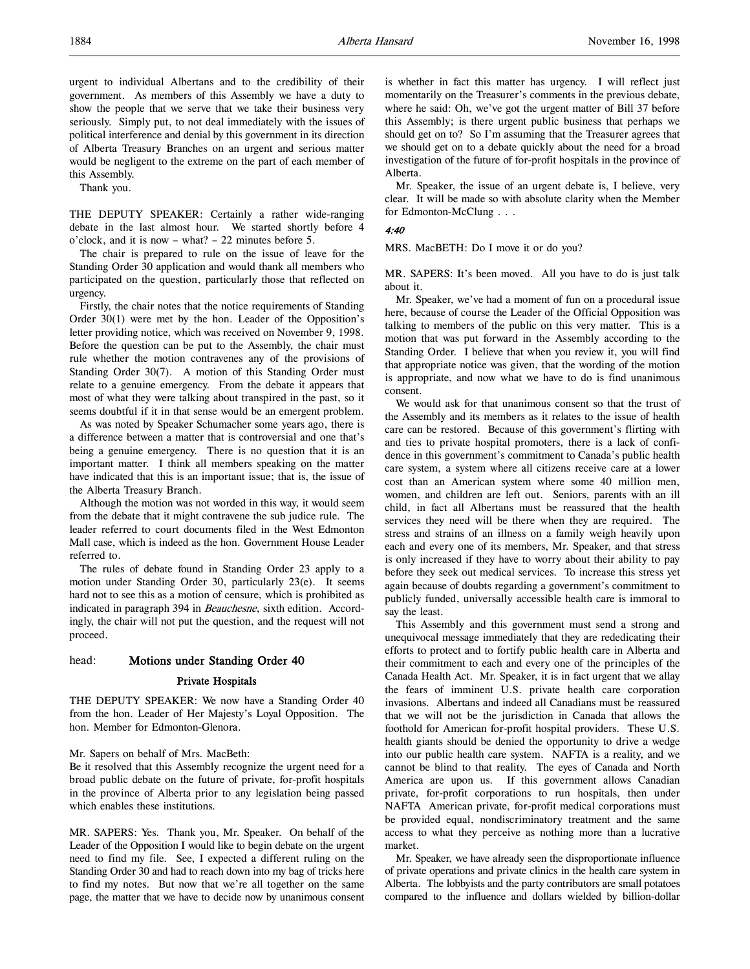urgent to individual Albertans and to the credibility of their government. As members of this Assembly we have a duty to show the people that we serve that we take their business very seriously. Simply put, to not deal immediately with the issues of political interference and denial by this government in its direction of Alberta Treasury Branches on an urgent and serious matter would be negligent to the extreme on the part of each member of this Assembly.

Thank you.

THE DEPUTY SPEAKER: Certainly a rather wide-ranging debate in the last almost hour. We started shortly before 4 o'clock, and it is now – what? – 22 minutes before 5.

The chair is prepared to rule on the issue of leave for the Standing Order 30 application and would thank all members who participated on the question, particularly those that reflected on urgency.

Firstly, the chair notes that the notice requirements of Standing Order 30(1) were met by the hon. Leader of the Opposition's letter providing notice, which was received on November 9, 1998. Before the question can be put to the Assembly, the chair must rule whether the motion contravenes any of the provisions of Standing Order 30(7). A motion of this Standing Order must relate to a genuine emergency. From the debate it appears that most of what they were talking about transpired in the past, so it seems doubtful if it in that sense would be an emergent problem.

As was noted by Speaker Schumacher some years ago, there is a difference between a matter that is controversial and one that's being a genuine emergency. There is no question that it is an important matter. I think all members speaking on the matter have indicated that this is an important issue; that is, the issue of the Alberta Treasury Branch.

Although the motion was not worded in this way, it would seem from the debate that it might contravene the sub judice rule. The leader referred to court documents filed in the West Edmonton Mall case, which is indeed as the hon. Government House Leader referred to.

The rules of debate found in Standing Order 23 apply to a motion under Standing Order 30, particularly 23(e). It seems hard not to see this as a motion of censure, which is prohibited as indicated in paragraph 394 in Beauchesne, sixth edition. Accordingly, the chair will not put the question, and the request will not proceed.

#### head: Motions under Standing Order 40

### Private Hospitals

THE DEPUTY SPEAKER: We now have a Standing Order 40 from the hon. Leader of Her Majesty's Loyal Opposition. The hon. Member for Edmonton-Glenora.

#### Mr. Sapers on behalf of Mrs. MacBeth:

Be it resolved that this Assembly recognize the urgent need for a broad public debate on the future of private, for-profit hospitals in the province of Alberta prior to any legislation being passed which enables these institutions.

MR. SAPERS: Yes. Thank you, Mr. Speaker. On behalf of the Leader of the Opposition I would like to begin debate on the urgent need to find my file. See, I expected a different ruling on the Standing Order 30 and had to reach down into my bag of tricks here to find my notes. But now that we're all together on the same page, the matter that we have to decide now by unanimous consent

is whether in fact this matter has urgency. I will reflect just momentarily on the Treasurer's comments in the previous debate, where he said: Oh, we've got the urgent matter of Bill 37 before this Assembly; is there urgent public business that perhaps we should get on to? So I'm assuming that the Treasurer agrees that we should get on to a debate quickly about the need for a broad investigation of the future of for-profit hospitals in the province of Alberta.

Mr. Speaker, the issue of an urgent debate is, I believe, very clear. It will be made so with absolute clarity when the Member for Edmonton-McClung . . .

#### 4:40

MRS. MacBETH: Do I move it or do you?

MR. SAPERS: It's been moved. All you have to do is just talk about it.

Mr. Speaker, we've had a moment of fun on a procedural issue here, because of course the Leader of the Official Opposition was talking to members of the public on this very matter. This is a motion that was put forward in the Assembly according to the Standing Order. I believe that when you review it, you will find that appropriate notice was given, that the wording of the motion is appropriate, and now what we have to do is find unanimous consent.

We would ask for that unanimous consent so that the trust of the Assembly and its members as it relates to the issue of health care can be restored. Because of this government's flirting with and ties to private hospital promoters, there is a lack of confidence in this government's commitment to Canada's public health care system, a system where all citizens receive care at a lower cost than an American system where some 40 million men, women, and children are left out. Seniors, parents with an ill child, in fact all Albertans must be reassured that the health services they need will be there when they are required. The stress and strains of an illness on a family weigh heavily upon each and every one of its members, Mr. Speaker, and that stress is only increased if they have to worry about their ability to pay before they seek out medical services. To increase this stress yet again because of doubts regarding a government's commitment to publicly funded, universally accessible health care is immoral to say the least.

This Assembly and this government must send a strong and unequivocal message immediately that they are rededicating their efforts to protect and to fortify public health care in Alberta and their commitment to each and every one of the principles of the Canada Health Act. Mr. Speaker, it is in fact urgent that we allay the fears of imminent U.S. private health care corporation invasions. Albertans and indeed all Canadians must be reassured that we will not be the jurisdiction in Canada that allows the foothold for American for-profit hospital providers. These U.S. health giants should be denied the opportunity to drive a wedge into our public health care system. NAFTA is a reality, and we cannot be blind to that reality. The eyes of Canada and North America are upon us. If this government allows Canadian private, for-profit corporations to run hospitals, then under NAFTA American private, for-profit medical corporations must be provided equal, nondiscriminatory treatment and the same access to what they perceive as nothing more than a lucrative market.

Mr. Speaker, we have already seen the disproportionate influence of private operations and private clinics in the health care system in Alberta. The lobbyists and the party contributors are small potatoes compared to the influence and dollars wielded by billion-dollar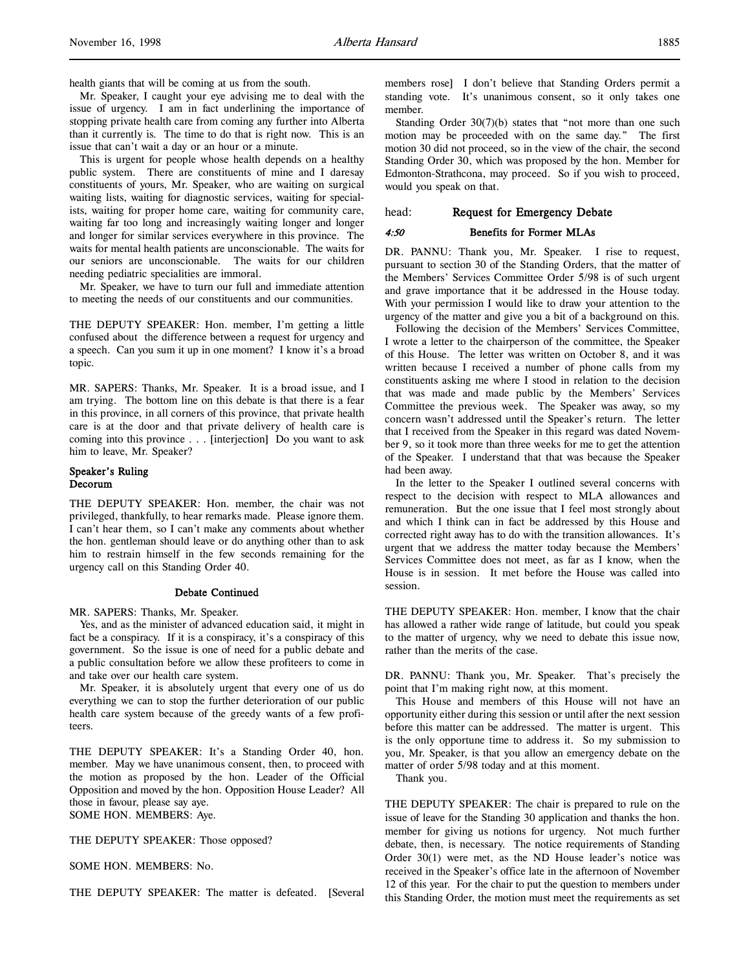health giants that will be coming at us from the south.

Mr. Speaker, I caught your eye advising me to deal with the issue of urgency. I am in fact underlining the importance of stopping private health care from coming any further into Alberta than it currently is. The time to do that is right now. This is an issue that can't wait a day or an hour or a minute.

This is urgent for people whose health depends on a healthy public system. There are constituents of mine and I daresay constituents of yours, Mr. Speaker, who are waiting on surgical waiting lists, waiting for diagnostic services, waiting for specialists, waiting for proper home care, waiting for community care, waiting far too long and increasingly waiting longer and longer and longer for similar services everywhere in this province. The waits for mental health patients are unconscionable. The waits for our seniors are unconscionable. The waits for our children needing pediatric specialities are immoral.

Mr. Speaker, we have to turn our full and immediate attention to meeting the needs of our constituents and our communities.

THE DEPUTY SPEAKER: Hon. member, I'm getting a little confused about the difference between a request for urgency and a speech. Can you sum it up in one moment? I know it's a broad topic.

MR. SAPERS: Thanks, Mr. Speaker. It is a broad issue, and I am trying. The bottom line on this debate is that there is a fear in this province, in all corners of this province, that private health care is at the door and that private delivery of health care is coming into this province . . . [interjection] Do you want to ask him to leave, Mr. Speaker?

### Speaker's Ruling Decorum

THE DEPUTY SPEAKER: Hon. member, the chair was not privileged, thankfully, to hear remarks made. Please ignore them. I can't hear them, so I can't make any comments about whether the hon. gentleman should leave or do anything other than to ask him to restrain himself in the few seconds remaining for the urgency call on this Standing Order 40.

# Debate Continued

### MR. SAPERS: Thanks, Mr. Speaker.

Yes, and as the minister of advanced education said, it might in fact be a conspiracy. If it is a conspiracy, it's a conspiracy of this government. So the issue is one of need for a public debate and a public consultation before we allow these profiteers to come in and take over our health care system.

Mr. Speaker, it is absolutely urgent that every one of us do everything we can to stop the further deterioration of our public health care system because of the greedy wants of a few profiteers.

THE DEPUTY SPEAKER: It's a Standing Order 40, hon. member. May we have unanimous consent, then, to proceed with the motion as proposed by the hon. Leader of the Official Opposition and moved by the hon. Opposition House Leader? All those in favour, please say aye. SOME HON. MEMBERS: Aye.

THE DEPUTY SPEAKER: Those opposed?

SOME HON. MEMBERS: No.

THE DEPUTY SPEAKER: The matter is defeated. [Several

members rose] I don't believe that Standing Orders permit a standing vote. It's unanimous consent, so it only takes one member.

Standing Order 30(7)(b) states that "not more than one such motion may be proceeded with on the same day." The first motion 30 did not proceed, so in the view of the chair, the second Standing Order 30, which was proposed by the hon. Member for Edmonton-Strathcona, may proceed. So if you wish to proceed, would you speak on that.

### head: Request for Emergency Debate

#### 4:50 Benefits for Former MLAs

DR. PANNU: Thank you, Mr. Speaker. I rise to request, pursuant to section 30 of the Standing Orders, that the matter of the Members' Services Committee Order 5/98 is of such urgent and grave importance that it be addressed in the House today. With your permission I would like to draw your attention to the urgency of the matter and give you a bit of a background on this.

Following the decision of the Members' Services Committee, I wrote a letter to the chairperson of the committee, the Speaker of this House. The letter was written on October 8, and it was written because I received a number of phone calls from my constituents asking me where I stood in relation to the decision that was made and made public by the Members' Services Committee the previous week. The Speaker was away, so my concern wasn't addressed until the Speaker's return. The letter that I received from the Speaker in this regard was dated November 9, so it took more than three weeks for me to get the attention of the Speaker. I understand that that was because the Speaker had been away.

In the letter to the Speaker I outlined several concerns with respect to the decision with respect to MLA allowances and remuneration. But the one issue that I feel most strongly about and which I think can in fact be addressed by this House and corrected right away has to do with the transition allowances. It's urgent that we address the matter today because the Members' Services Committee does not meet, as far as I know, when the House is in session. It met before the House was called into session.

THE DEPUTY SPEAKER: Hon. member, I know that the chair has allowed a rather wide range of latitude, but could you speak to the matter of urgency, why we need to debate this issue now, rather than the merits of the case.

DR. PANNU: Thank you, Mr. Speaker. That's precisely the point that I'm making right now, at this moment.

This House and members of this House will not have an opportunity either during this session or until after the next session before this matter can be addressed. The matter is urgent. This is the only opportune time to address it. So my submission to you, Mr. Speaker, is that you allow an emergency debate on the matter of order 5/98 today and at this moment.

Thank you.

THE DEPUTY SPEAKER: The chair is prepared to rule on the issue of leave for the Standing 30 application and thanks the hon. member for giving us notions for urgency. Not much further debate, then, is necessary. The notice requirements of Standing Order 30(1) were met, as the ND House leader's notice was received in the Speaker's office late in the afternoon of November 12 of this year. For the chair to put the question to members under this Standing Order, the motion must meet the requirements as set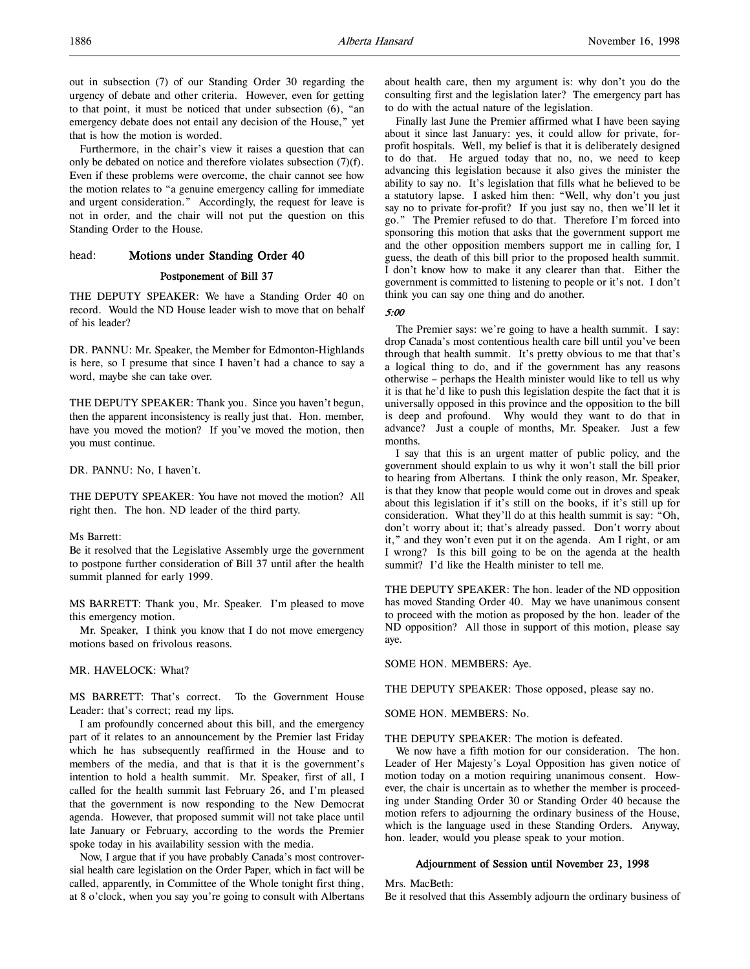out in subsection (7) of our Standing Order 30 regarding the urgency of debate and other criteria. However, even for getting to that point, it must be noticed that under subsection (6), "an emergency debate does not entail any decision of the House," yet that is how the motion is worded.

Furthermore, in the chair's view it raises a question that can only be debated on notice and therefore violates subsection (7)(f). Even if these problems were overcome, the chair cannot see how the motion relates to "a genuine emergency calling for immediate and urgent consideration." Accordingly, the request for leave is not in order, and the chair will not put the question on this Standing Order to the House.

# head: Motions under Standing Order 40

# Postponement of Bill 37

THE DEPUTY SPEAKER: We have a Standing Order 40 on record. Would the ND House leader wish to move that on behalf of his leader?

DR. PANNU: Mr. Speaker, the Member for Edmonton-Highlands is here, so I presume that since I haven't had a chance to say a word, maybe she can take over.

THE DEPUTY SPEAKER: Thank you. Since you haven't begun, then the apparent inconsistency is really just that. Hon. member, have you moved the motion? If you've moved the motion, then you must continue.

DR. PANNU: No, I haven't.

THE DEPUTY SPEAKER: You have not moved the motion? All right then. The hon. ND leader of the third party.

#### Ms Barrett:

Be it resolved that the Legislative Assembly urge the government to postpone further consideration of Bill 37 until after the health summit planned for early 1999.

MS BARRETT: Thank you, Mr. Speaker. I'm pleased to move this emergency motion.

Mr. Speaker, I think you know that I do not move emergency motions based on frivolous reasons.

#### MR. HAVELOCK: What?

MS BARRETT: That's correct. To the Government House Leader: that's correct; read my lips.

I am profoundly concerned about this bill, and the emergency part of it relates to an announcement by the Premier last Friday which he has subsequently reaffirmed in the House and to members of the media, and that is that it is the government's intention to hold a health summit. Mr. Speaker, first of all, I called for the health summit last February 26, and I'm pleased that the government is now responding to the New Democrat agenda. However, that proposed summit will not take place until late January or February, according to the words the Premier spoke today in his availability session with the media.

Now, I argue that if you have probably Canada's most controversial health care legislation on the Order Paper, which in fact will be called, apparently, in Committee of the Whole tonight first thing, at 8 o'clock, when you say you're going to consult with Albertans about health care, then my argument is: why don't you do the consulting first and the legislation later? The emergency part has to do with the actual nature of the legislation.

Finally last June the Premier affirmed what I have been saying about it since last January: yes, it could allow for private, forprofit hospitals. Well, my belief is that it is deliberately designed to do that. He argued today that no, no, we need to keep advancing this legislation because it also gives the minister the ability to say no. It's legislation that fills what he believed to be a statutory lapse. I asked him then: "Well, why don't you just say no to private for-profit? If you just say no, then we'll let it go." The Premier refused to do that. Therefore I'm forced into sponsoring this motion that asks that the government support me and the other opposition members support me in calling for, I guess, the death of this bill prior to the proposed health summit. I don't know how to make it any clearer than that. Either the government is committed to listening to people or it's not. I don't think you can say one thing and do another.

#### 5:00

The Premier says: we're going to have a health summit. I say: drop Canada's most contentious health care bill until you've been through that health summit. It's pretty obvious to me that that's a logical thing to do, and if the government has any reasons otherwise – perhaps the Health minister would like to tell us why it is that he'd like to push this legislation despite the fact that it is universally opposed in this province and the opposition to the bill is deep and profound. Why would they want to do that in advance? Just a couple of months, Mr. Speaker. Just a few months.

I say that this is an urgent matter of public policy, and the government should explain to us why it won't stall the bill prior to hearing from Albertans. I think the only reason, Mr. Speaker, is that they know that people would come out in droves and speak about this legislation if it's still on the books, if it's still up for consideration. What they'll do at this health summit is say: "Oh, don't worry about it; that's already passed. Don't worry about it," and they won't even put it on the agenda. Am I right, or am I wrong? Is this bill going to be on the agenda at the health summit? I'd like the Health minister to tell me.

THE DEPUTY SPEAKER: The hon. leader of the ND opposition has moved Standing Order 40. May we have unanimous consent to proceed with the motion as proposed by the hon. leader of the ND opposition? All those in support of this motion, please say aye.

SOME HON. MEMBERS: Aye.

THE DEPUTY SPEAKER: Those opposed, please say no.

#### SOME HON. MEMBERS: No.

THE DEPUTY SPEAKER: The motion is defeated.

We now have a fifth motion for our consideration. The hon. Leader of Her Majesty's Loyal Opposition has given notice of motion today on a motion requiring unanimous consent. However, the chair is uncertain as to whether the member is proceeding under Standing Order 30 or Standing Order 40 because the motion refers to adjourning the ordinary business of the House, which is the language used in these Standing Orders. Anyway, hon. leader, would you please speak to your motion.

### Adjournment of Session until November 23, 1998

Mrs. MacBeth:

Be it resolved that this Assembly adjourn the ordinary business of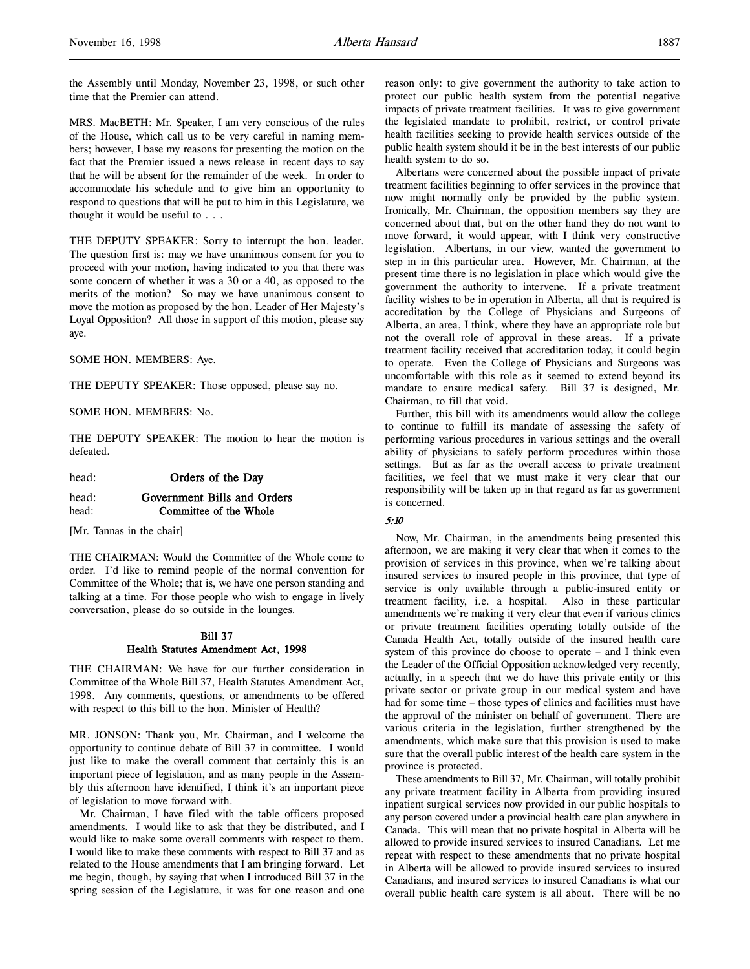the Assembly until Monday, November 23, 1998, or such other time that the Premier can attend.

MRS. MacBETH: Mr. Speaker, I am very conscious of the rules of the House, which call us to be very careful in naming members; however, I base my reasons for presenting the motion on the fact that the Premier issued a news release in recent days to say that he will be absent for the remainder of the week. In order to accommodate his schedule and to give him an opportunity to respond to questions that will be put to him in this Legislature, we thought it would be useful to . . .

THE DEPUTY SPEAKER: Sorry to interrupt the hon. leader. The question first is: may we have unanimous consent for you to proceed with your motion, having indicated to you that there was some concern of whether it was a 30 or a 40, as opposed to the merits of the motion? So may we have unanimous consent to move the motion as proposed by the hon. Leader of Her Majesty's Loyal Opposition? All those in support of this motion, please say aye.

SOME HON. MEMBERS: Aye.

THE DEPUTY SPEAKER: Those opposed, please say no.

SOME HON. MEMBERS: No.

THE DEPUTY SPEAKER: The motion to hear the motion is defeated.

#### head: **Orders of the Day**

# head: Government Bills and Orders head: **Committee of the Whole**

[Mr. Tannas in the chair]

THE CHAIRMAN: Would the Committee of the Whole come to order. I'd like to remind people of the normal convention for Committee of the Whole; that is, we have one person standing and talking at a time. For those people who wish to engage in lively conversation, please do so outside in the lounges.

### Bill 37 Health Statutes Amendment Act, 1998

THE CHAIRMAN: We have for our further consideration in Committee of the Whole Bill 37, Health Statutes Amendment Act, 1998. Any comments, questions, or amendments to be offered with respect to this bill to the hon. Minister of Health?

MR. JONSON: Thank you, Mr. Chairman, and I welcome the opportunity to continue debate of Bill 37 in committee. I would just like to make the overall comment that certainly this is an important piece of legislation, and as many people in the Assembly this afternoon have identified, I think it's an important piece of legislation to move forward with.

Mr. Chairman, I have filed with the table officers proposed amendments. I would like to ask that they be distributed, and I would like to make some overall comments with respect to them. I would like to make these comments with respect to Bill 37 and as related to the House amendments that I am bringing forward. Let me begin, though, by saying that when I introduced Bill 37 in the spring session of the Legislature, it was for one reason and one

reason only: to give government the authority to take action to protect our public health system from the potential negative impacts of private treatment facilities. It was to give government the legislated mandate to prohibit, restrict, or control private health facilities seeking to provide health services outside of the public health system should it be in the best interests of our public health system to do so.

Albertans were concerned about the possible impact of private treatment facilities beginning to offer services in the province that now might normally only be provided by the public system. Ironically, Mr. Chairman, the opposition members say they are concerned about that, but on the other hand they do not want to move forward, it would appear, with I think very constructive legislation. Albertans, in our view, wanted the government to step in in this particular area. However, Mr. Chairman, at the present time there is no legislation in place which would give the government the authority to intervene. If a private treatment facility wishes to be in operation in Alberta, all that is required is accreditation by the College of Physicians and Surgeons of Alberta, an area, I think, where they have an appropriate role but not the overall role of approval in these areas. If a private treatment facility received that accreditation today, it could begin to operate. Even the College of Physicians and Surgeons was uncomfortable with this role as it seemed to extend beyond its mandate to ensure medical safety. Bill 37 is designed, Mr. Chairman, to fill that void.

Further, this bill with its amendments would allow the college to continue to fulfill its mandate of assessing the safety of performing various procedures in various settings and the overall ability of physicians to safely perform procedures within those settings. But as far as the overall access to private treatment facilities, we feel that we must make it very clear that our responsibility will be taken up in that regard as far as government is concerned.

# 5:10

Now, Mr. Chairman, in the amendments being presented this afternoon, we are making it very clear that when it comes to the provision of services in this province, when we're talking about insured services to insured people in this province, that type of service is only available through a public-insured entity or treatment facility, i.e. a hospital. Also in these particular amendments we're making it very clear that even if various clinics or private treatment facilities operating totally outside of the Canada Health Act, totally outside of the insured health care system of this province do choose to operate – and I think even the Leader of the Official Opposition acknowledged very recently, actually, in a speech that we do have this private entity or this private sector or private group in our medical system and have had for some time – those types of clinics and facilities must have the approval of the minister on behalf of government. There are various criteria in the legislation, further strengthened by the amendments, which make sure that this provision is used to make sure that the overall public interest of the health care system in the province is protected.

These amendments to Bill 37, Mr. Chairman, will totally prohibit any private treatment facility in Alberta from providing insured inpatient surgical services now provided in our public hospitals to any person covered under a provincial health care plan anywhere in Canada. This will mean that no private hospital in Alberta will be allowed to provide insured services to insured Canadians. Let me repeat with respect to these amendments that no private hospital in Alberta will be allowed to provide insured services to insured Canadians, and insured services to insured Canadians is what our overall public health care system is all about. There will be no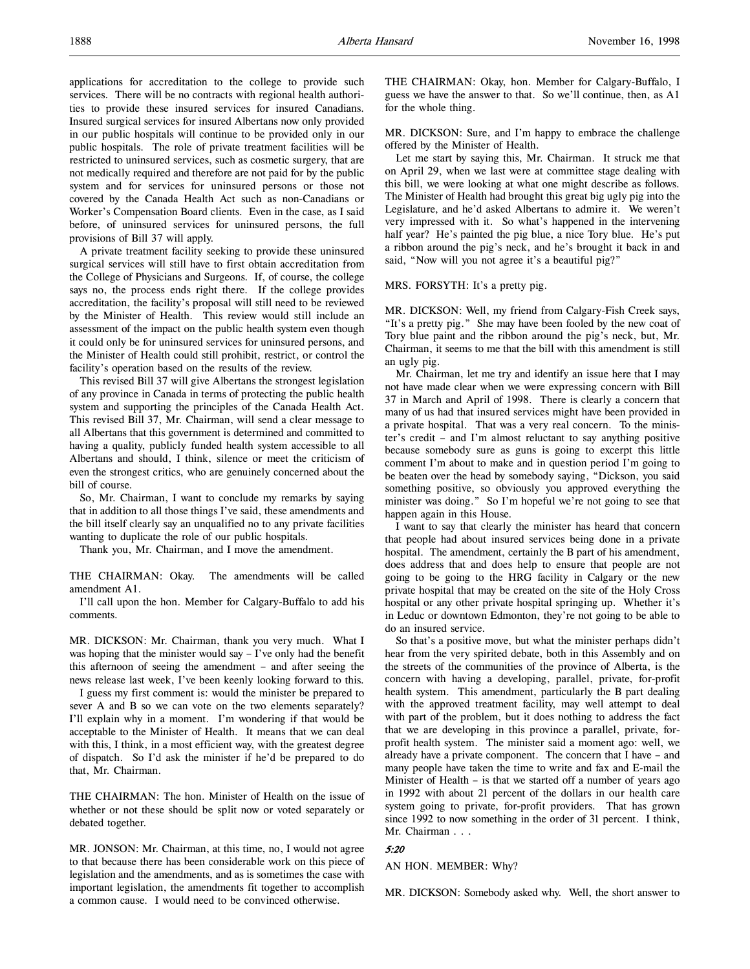applications for accreditation to the college to provide such services. There will be no contracts with regional health authorities to provide these insured services for insured Canadians. Insured surgical services for insured Albertans now only provided in our public hospitals will continue to be provided only in our public hospitals. The role of private treatment facilities will be restricted to uninsured services, such as cosmetic surgery, that are not medically required and therefore are not paid for by the public system and for services for uninsured persons or those not covered by the Canada Health Act such as non-Canadians or Worker's Compensation Board clients. Even in the case, as I said before, of uninsured services for uninsured persons, the full provisions of Bill 37 will apply.

A private treatment facility seeking to provide these uninsured surgical services will still have to first obtain accreditation from the College of Physicians and Surgeons. If, of course, the college says no, the process ends right there. If the college provides accreditation, the facility's proposal will still need to be reviewed by the Minister of Health. This review would still include an assessment of the impact on the public health system even though it could only be for uninsured services for uninsured persons, and the Minister of Health could still prohibit, restrict, or control the facility's operation based on the results of the review.

This revised Bill 37 will give Albertans the strongest legislation of any province in Canada in terms of protecting the public health system and supporting the principles of the Canada Health Act. This revised Bill 37, Mr. Chairman, will send a clear message to all Albertans that this government is determined and committed to having a quality, publicly funded health system accessible to all Albertans and should, I think, silence or meet the criticism of even the strongest critics, who are genuinely concerned about the bill of course.

So, Mr. Chairman, I want to conclude my remarks by saying that in addition to all those things I've said, these amendments and the bill itself clearly say an unqualified no to any private facilities wanting to duplicate the role of our public hospitals.

Thank you, Mr. Chairman, and I move the amendment.

THE CHAIRMAN: Okay. The amendments will be called amendment A1.

I'll call upon the hon. Member for Calgary-Buffalo to add his comments.

MR. DICKSON: Mr. Chairman, thank you very much. What I was hoping that the minister would say  $-$  I've only had the benefit this afternoon of seeing the amendment – and after seeing the news release last week, I've been keenly looking forward to this.

I guess my first comment is: would the minister be prepared to sever A and B so we can vote on the two elements separately? I'll explain why in a moment. I'm wondering if that would be acceptable to the Minister of Health. It means that we can deal with this, I think, in a most efficient way, with the greatest degree of dispatch. So I'd ask the minister if he'd be prepared to do that, Mr. Chairman.

THE CHAIRMAN: The hon. Minister of Health on the issue of whether or not these should be split now or voted separately or debated together.

MR. JONSON: Mr. Chairman, at this time, no, I would not agree to that because there has been considerable work on this piece of legislation and the amendments, and as is sometimes the case with important legislation, the amendments fit together to accomplish a common cause. I would need to be convinced otherwise.

THE CHAIRMAN: Okay, hon. Member for Calgary-Buffalo, I guess we have the answer to that. So we'll continue, then, as A1 for the whole thing.

MR. DICKSON: Sure, and I'm happy to embrace the challenge offered by the Minister of Health.

Let me start by saying this, Mr. Chairman. It struck me that on April 29, when we last were at committee stage dealing with this bill, we were looking at what one might describe as follows. The Minister of Health had brought this great big ugly pig into the Legislature, and he'd asked Albertans to admire it. We weren't very impressed with it. So what's happened in the intervening half year? He's painted the pig blue, a nice Tory blue. He's put a ribbon around the pig's neck, and he's brought it back in and said, "Now will you not agree it's a beautiful pig?"

#### MRS. FORSYTH: It's a pretty pig.

MR. DICKSON: Well, my friend from Calgary-Fish Creek says, "It's a pretty pig." She may have been fooled by the new coat of Tory blue paint and the ribbon around the pig's neck, but, Mr. Chairman, it seems to me that the bill with this amendment is still an ugly pig.

Mr. Chairman, let me try and identify an issue here that I may not have made clear when we were expressing concern with Bill 37 in March and April of 1998. There is clearly a concern that many of us had that insured services might have been provided in a private hospital. That was a very real concern. To the minister's credit – and I'm almost reluctant to say anything positive because somebody sure as guns is going to excerpt this little comment I'm about to make and in question period I'm going to be beaten over the head by somebody saying, "Dickson, you said something positive, so obviously you approved everything the minister was doing." So I'm hopeful we're not going to see that happen again in this House.

I want to say that clearly the minister has heard that concern that people had about insured services being done in a private hospital. The amendment, certainly the B part of his amendment, does address that and does help to ensure that people are not going to be going to the HRG facility in Calgary or the new private hospital that may be created on the site of the Holy Cross hospital or any other private hospital springing up. Whether it's in Leduc or downtown Edmonton, they're not going to be able to do an insured service.

So that's a positive move, but what the minister perhaps didn't hear from the very spirited debate, both in this Assembly and on the streets of the communities of the province of Alberta, is the concern with having a developing, parallel, private, for-profit health system. This amendment, particularly the B part dealing with the approved treatment facility, may well attempt to deal with part of the problem, but it does nothing to address the fact that we are developing in this province a parallel, private, forprofit health system. The minister said a moment ago: well, we already have a private component. The concern that I have – and many people have taken the time to write and fax and E-mail the Minister of Health – is that we started off a number of years ago in 1992 with about 21 percent of the dollars in our health care system going to private, for-profit providers. That has grown since 1992 to now something in the order of 31 percent. I think, Mr. Chairman . . .

# 5:20

AN HON. MEMBER: Why?

MR. DICKSON: Somebody asked why. Well, the short answer to